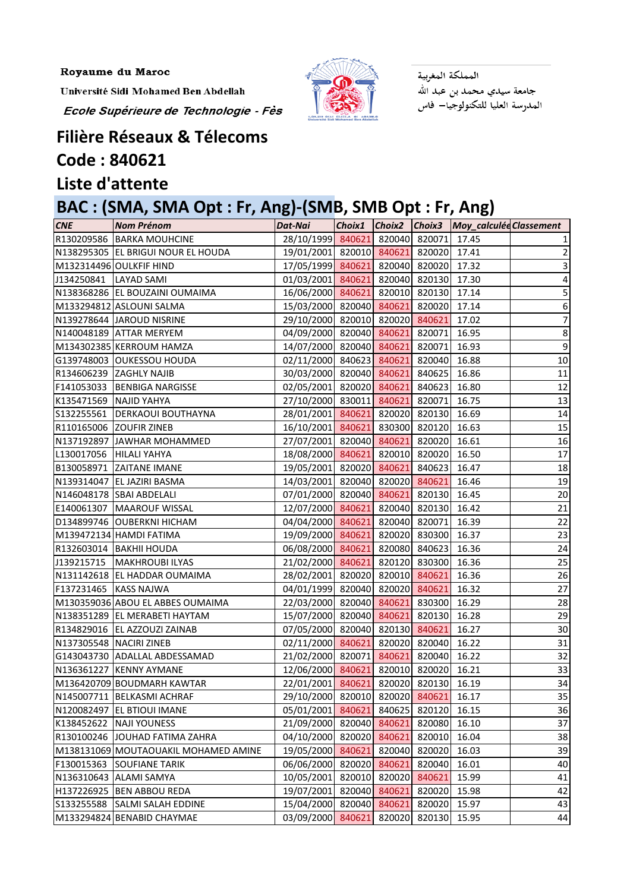Université Sidi Mohamed Ben Abdellah

Ecole Supérieure de Technologie - Fès



المملكة المغربية جامعة سيدي محمد بن عبد الله<br>المدرسة العليا للتكنولوجيا– فاس

## **Filière Réseaux & Télecoms Code : 840621**

## **Liste d'attente**

## **BAC : (SMA, SMA Opt : Fr, Ang)-(SMB, SMB Opt : Fr, Ang)**

| <b>CNE</b>              | <b>Nom Prénom</b>                    | Dat-Nai                               |               |               | Choix1 Choix2 Choix3 Moy_calculéeClassement |                 |
|-------------------------|--------------------------------------|---------------------------------------|---------------|---------------|---------------------------------------------|-----------------|
|                         | R130209586 BARKA MOUHCINE            | 28/10/1999 840621                     |               | 820040 820071 | 17.45                                       |                 |
|                         | N138295305 EL BRIGUI NOUR EL HOUDA   | 19/01/2001 820010 840621 820020 17.41 |               |               |                                             |                 |
|                         | M132314496 OULKFIF HIND              | 17/05/1999 840621 820040 820020 17.32 |               |               |                                             |                 |
| J134250841              | <b>LAYAD SAMI</b>                    | 01/03/2001 840621 820040 820130 17.30 |               |               |                                             | 4               |
|                         | N138368286 EL BOUZAINI OUMAIMA       | 16/06/2000 840621 820010 820130 17.14 |               |               |                                             | 5               |
|                         | M133294812 ASLOUNI SALMA             | 15/03/2000 820040 840621 820020 17.14 |               |               |                                             | 6               |
|                         | N139278644 JAROUD NISRINE            | 29/10/2000 820010 820020 840621       |               |               | 17.02                                       |                 |
|                         | N140048189 ATTAR MERYEM              | 04/09/2000 820040 840621 820071 16.95 |               |               |                                             | 8               |
|                         | M134302385 KERROUM HAMZA             | 14/07/2000 820040 840621 820071 16.93 |               |               |                                             | 9               |
|                         | G139748003 OUKESSOU HOUDA            | 02/11/2000 840623 840621 820040 16.88 |               |               |                                             | 10              |
|                         | R134606239 ZAGHLY NAJIB              | 30/03/2000 820040 840621 840625 16.86 |               |               |                                             | 11              |
|                         | F141053033 BENBIGA NARGISSE          | 02/05/2001 820020 840621 840623 16.80 |               |               |                                             | 12              |
| K135471569 NAJID YAHYA  |                                      | 27/10/2000 830011 840621 820071 16.75 |               |               |                                             | 13              |
| S132255561              | <b>DERKAOUI BOUTHAYNA</b>            | 28/01/2001 840621 820020 820130 16.69 |               |               |                                             | $14\,$          |
|                         | R110165006 ZOUFIR ZINEB              | 16/10/2001 840621 830300 820120 16.63 |               |               |                                             | 15              |
|                         | N137192897 JAWHAR MOHAMMED           | 27/07/2001 820040 840621 820020       |               |               | 16.61                                       | 16              |
| L130017056 HILALI YAHYA |                                      | 18/08/2000 840621 820010 820020 16.50 |               |               |                                             | 17              |
|                         | B130058971 ZAITANE IMANE             | 19/05/2001 820020 840621 840623 16.47 |               |               |                                             | 18              |
|                         | N139314047 EL JAZIRI BASMA           | 14/03/2001 820040 820020 840621       |               |               | 16.46                                       | 19              |
|                         | N146048178 SBAI ABDELALI             | 07/01/2000 820040 840621 820130 16.45 |               |               |                                             | 20 <sub>2</sub> |
| E140061307              | MAAROUF WISSAL                       | 12/07/2000 840621 820040 820130 16.42 |               |               |                                             | 21              |
|                         | D134899746 OUBERKNI HICHAM           | 04/04/2000 840621 820040 820071 16.39 |               |               |                                             | 22              |
|                         | M139472134 HAMDI FATIMA              | 19/09/2000 840621 820020 830300 16.37 |               |               |                                             | 23              |
|                         | R132603014   BAKHII HOUDA            | 06/08/2000 840621 820080 840623 16.36 |               |               |                                             | 24              |
| J139215715              | MAKHROUBI ILYAS                      | 21/02/2000 840621 820120 830300 16.36 |               |               |                                             | 25              |
|                         | N131142618 EL HADDAR OUMAIMA         | 28/02/2001 820020 820010 840621       |               |               | 16.36                                       | 26              |
| F137231465 KASS NAJWA   |                                      | 04/01/1999 820040 820020 840621       |               |               | 16.32                                       | 27              |
|                         | M130359036 ABOU EL ABBES OUMAIMA     | 22/03/2000 820040 840621 830300 16.29 |               |               |                                             | 28              |
|                         | N138351289 EL MERABETI HAYTAM        | 15/07/2000 820040 840621 820130 16.28 |               |               |                                             | 29              |
|                         | R134829016 EL AZZOUZI ZAINAB         | 07/05/2000 820040 820130 840621 16.27 |               |               |                                             | 30              |
| N137305548 NACIRI ZINEB |                                      | 02/11/2000 840621                     | 820020        | 820040 16.22  |                                             | 31              |
|                         | G143043730 ADALLAL ABDESSAMAD        | 21/02/2000 820071                     | 840621        | 820040 16.22  |                                             | 32              |
|                         | N136361227 KENNY AYMANE              | 12/06/2000 840621                     | 820010        | 820020        | 16.21                                       | 33              |
|                         | M136420709 BOUDMARH KAWTAR           | 22/01/2001 840621                     | 820020        | 820130        | 16.19                                       | 34              |
|                         | N145007711   BELKASMI ACHRAF         | 29/10/2000 820010                     | 820020        | 840621        | 16.17                                       | 35              |
| N120082497              | <b>EL BTIOUI IMANE</b>               | 05/01/2001 840621                     | 840625        | 820120 16.15  |                                             | 36              |
| K138452622              | <b>NAJI YOUNESS</b>                  | 21/09/2000 820040 840621              |               | 820080        | 16.10                                       | 37              |
| R130100246              | JOUHAD FATIMA ZAHRA                  | 04/10/2000 820020                     | 840621        | 820010        | 16.04                                       | 38              |
|                         | M138131069 MOUTAOUAKIL MOHAMED AMINE | 19/05/2000 840621                     | 820040        | 820020        | 16.03                                       | 39              |
| F130015363              | <b>SOUFIANE TARIK</b>                | 06/06/2000 820020 840621              |               | 820040        | 16.01                                       | 40              |
| N136310643              | <b>ALAMI SAMYA</b>                   | 10/05/2001                            | 820010 820020 | 840621        | 15.99                                       | 41              |
| H137226925              | <b>BEN ABBOU REDA</b>                | 19/07/2001 820040                     | 840621        | 820020        | 15.98                                       | 42              |
| S133255588              | <b>SALMI SALAH EDDINE</b>            | 15/04/2000 820040                     | 840621        | 820020        | 15.97                                       | 43              |
|                         | M133294824 BENABID CHAYMAE           | 03/09/2000 840621                     | 820020        | 820130        | 15.95                                       | 44              |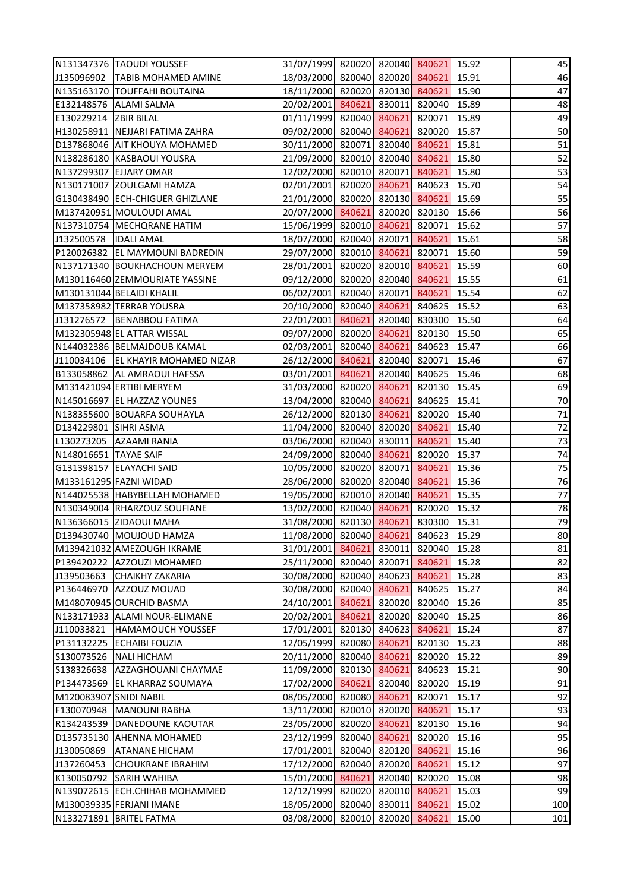|                       | N131347376 TAOUDI YOUSSEF       | 31/07/1999 820020 820040 840621 15.92 |        |        |               |       | 45  |
|-----------------------|---------------------------------|---------------------------------------|--------|--------|---------------|-------|-----|
| J135096902            | <b>TABIB MOHAMED AMINE</b>      | 18/03/2000 820040 820020 840621 15.91 |        |        |               |       | 46  |
|                       | N135163170 TOUFFAHI BOUTAINA    | 18/11/2000 820020 820130 840621       |        |        |               | 15.90 | 47  |
| E132148576            | <b>ALAMI SALMA</b>              | 20/02/2001 840621                     |        |        | 830011 820040 | 15.89 | 48  |
| E130229214 ZBIR BILAL |                                 | 01/11/1999 820040 840621 820071 15.89 |        |        |               |       | 49  |
|                       | H130258911 NEJJARI FATIMA ZAHRA | 09/02/2000 820040 840621 820020 15.87 |        |        |               |       | 50  |
|                       | D137868046 AIT KHOUYA MOHAMED   | 30/11/2000 820071 820040 840621 15.81 |        |        |               |       | 51  |
|                       | N138286180 KASBAOUI YOUSRA      | 21/09/2000 820010 820040 840621       |        |        |               | 15.80 | 52  |
|                       | N137299307 EJJARY OMAR          | 12/02/2000 820010 820071 840621       |        |        |               | 15.80 | 53  |
|                       | N130171007 ZOULGAMI HAMZA       | 02/01/2001 820020 840621 840623 15.70 |        |        |               |       | 54  |
|                       | G130438490 ECH-CHIGUER GHIZLANE | 21/01/2000 820020 820130 840621       |        |        |               | 15.69 | 55  |
|                       | M137420951 MOULOUDI AMAL        | 20/07/2000 840621 820020 820130 15.66 |        |        |               |       | 56  |
|                       | N137310754 MECHQRANE HATIM      | 15/06/1999 820010 840621              |        |        | 820071        | 15.62 | 57  |
| J132500578            | <b>IDALI AMAL</b>               | 18/07/2000 820040 820071 840621       |        |        |               | 15.61 | 58  |
|                       | P120026382 EL MAYMOUNI BADREDIN | 29/07/2000 820010 840621 820071       |        |        |               | 15.60 | 59  |
|                       | N137171340 BOUKHACHOUN MERYEM   | 28/01/2001 820020 820010 840621       |        |        |               | 15.59 | 60  |
|                       | M130116460 ZEMMOURIATE YASSINE  | 09/12/2000 820020 820040 840621 15.55 |        |        |               |       | 61  |
|                       | M130131044 BELAIDI KHALIL       | 06/02/2001 820040 820071              |        |        | 840621        | 15.54 | 62  |
|                       | M137358982 TERRAB YOUSRA        | 20/10/2000 820040 840621 840625 15.52 |        |        |               |       | 63  |
|                       | J131276572   BENABBOU FATIMA    | 22/01/2001 840621 820040 830300 15.50 |        |        |               |       | 64  |
|                       | M132305948 EL ATTAR WISSAL      | 09/07/2000 820020 840621 820130 15.50 |        |        |               |       | 65  |
|                       | N144032386 BELMAJDOUB KAMAL     | 02/03/2001 820040 840621              |        |        | 840623 15.47  |       | 66  |
| J110034106            | <b>EL KHAYIR MOHAMED NIZAR</b>  | 26/12/2000 840621                     |        |        | 820040 820071 | 15.46 | 67  |
|                       | B133058862 AL AMRAOUI HAFSSA    | 03/01/2001 840621 820040 840625 15.46 |        |        |               |       | 68  |
|                       | M131421094 ERTIBI MERYEM        | 31/03/2000 820020 840621              |        |        | 820130 15.45  |       | 69  |
|                       | N145016697 EL HAZZAZ YOUNES     | 13/04/2000 820040 840621 840625 15.41 |        |        |               |       | 70  |
|                       | N138355600 BOUARFA SOUHAYLA     | 26/12/2000 820130 840621 820020       |        |        |               | 15.40 | 71  |
| D134229801 SIHRI ASMA |                                 | 11/04/2000 820040 820020 840621       |        |        |               | 15.40 | 72  |
| L130273205            | <b>AZAAMI RANIA</b>             | 03/06/2000 820040 830011 840621       |        |        |               | 15.40 | 73  |
| N148016651 TAYAE SAIF |                                 | 24/09/2000 820040 840621              |        |        | 820020        | 15.37 | 74  |
|                       | G131398157 ELAYACHI SAID        | 10/05/2000 820020 820071 840621 15.36 |        |        |               |       | 75  |
|                       | M133161295 FAZNI WIDAD          | 28/06/2000 820020 820040 840621 15.36 |        |        |               |       | 76  |
|                       | N144025538 HABYBELLAH MOHAMED   | 19/05/2000 820010 820040 840621       |        |        |               | 15.35 | 77  |
|                       | N130349004 RHARZOUZ SOUFIANE    | 13/02/2000 820040 840621 820020 15.32 |        |        |               |       | 78  |
|                       | N136366015 ZIDAOUI MAHA         | 31/08/2000 820130 840621              |        |        | 830300        | 15.31 | 79  |
|                       | D139430740 MOUJOUD HAMZA        | 11/08/2000 820040                     |        | 840621 | 840623        | 15.29 | 80  |
|                       | M139421032 AMEZOUGH IKRAME      | 31/01/2001 840621                     |        | 830011 | 820040        | 15.28 | 81  |
| P139420222            | <b>AZZOUZI MOHAMED</b>          | 25/11/2000 820040 820071              |        |        | 840621        | 15.28 | 82  |
| J139503663            | <b>CHAIKHY ZAKARIA</b>          | 30/08/2000 820040                     |        | 840623 | 840621        | 15.28 | 83  |
| P136446970            | AZZOUZ MOUAD                    | 30/08/2000 820040                     |        | 840621 | 840625        | 15.27 | 84  |
|                       | M148070945 OURCHID BASMA        | 24/10/2001 840621                     |        | 820020 | 820040        | 15.26 | 85  |
|                       | N133171933 ALAMI NOUR-ELIMANE   | 20/02/2001 840621                     |        | 820020 | 820040        | 15.25 | 86  |
| J110033821            | <b>HAMAMOUCH YOUSSEF</b>        | 17/01/2001 820130                     |        | 840623 | 840621        | 15.24 | 87  |
| P131132225            | <b>ECHAIBI FOUZIA</b>           | 12/05/1999 820080                     |        | 840621 | 820130        | 15.23 | 88  |
| S130073526            | <b>NALI HICHAM</b>              | 20/11/2000 820040                     |        | 840621 | 820020        | 15.22 | 89  |
| S138326638            | AZZAGHOUANI CHAYMAE             | 11/09/2000 820130 840621              |        |        | 840623        | 15.21 | 90  |
| P134473569            | <b>EL KHARRAZ SOUMAYA</b>       | 17/02/2000 840621                     |        | 820040 | 820020        | 15.19 | 91  |
| M120083907            | <b>SNIDI NABIL</b>              | 08/05/2000 820080 840621              |        |        | 820071        | 15.17 | 92  |
| F130070948            | MANOUNI RABHA                   | 13/11/2000 820010 820020              |        |        | 840621        | 15.17 | 93  |
| R134243539            | DANEDOUNE KAOUTAR               | 23/05/2000                            | 820020 | 840621 | 820130        | 15.16 | 94  |
| D135735130            | <b>AHENNA MOHAMED</b>           | 23/12/1999 820040 840621              |        |        | 820020        | 15.16 | 95  |
| J130050869            | ATANANE HICHAM                  | 17/01/2001 820040 820120              |        |        | 840621        | 15.16 | 96  |
| J137260453            | <b>CHOUKRANE IBRAHIM</b>        | 17/12/2000 820040                     |        | 820020 | 840621        | 15.12 | 97  |
| K130050792            | <b>SARIH WAHIBA</b>             | 15/01/2000 840621                     |        | 820040 | 820020        | 15.08 | 98  |
| N139072615            | <b>ECH.CHIHAB MOHAMMED</b>      | 12/12/1999                            | 820020 | 820010 | 840621        | 15.03 | 99  |
|                       | M130039335 FERJANI IMANE        | 18/05/2000 820040 830011              |        |        | 840621        | 15.02 | 100 |
| N133271891            | <b>BRITEL FATMA</b>             | 03/08/2000 820010                     |        | 820020 | 840621        | 15.00 | 101 |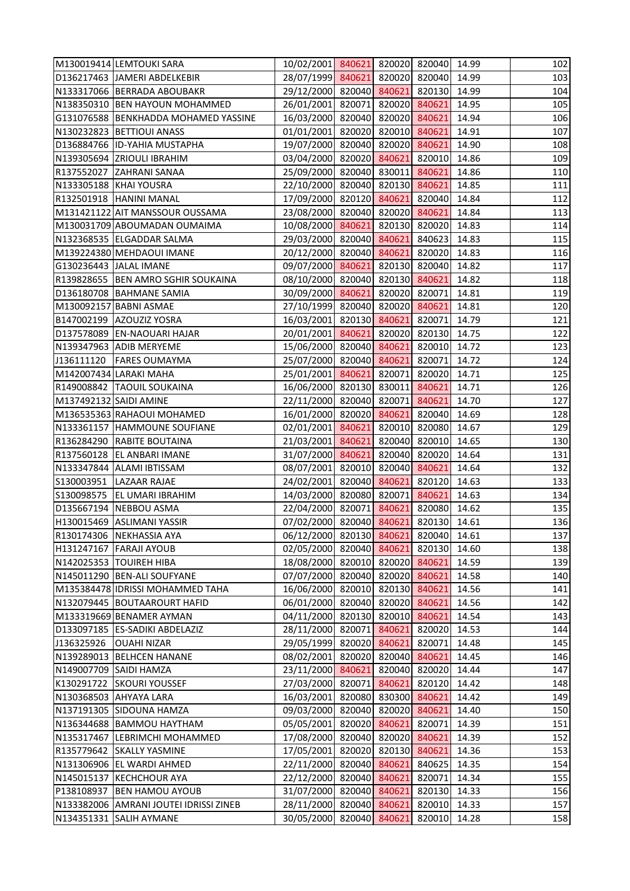|                        | M130019414 LEMTOUKI SARA               | 10/02/2001 840621 820020 820040 14.99 |        |        |                     |       | 102 |
|------------------------|----------------------------------------|---------------------------------------|--------|--------|---------------------|-------|-----|
|                        | D136217463 JAMERI ABDELKEBIR           | 28/07/1999 840621 820020 820040 14.99 |        |        |                     |       | 103 |
|                        | N133317066 BERRADA ABOUBAKR            | 29/12/2000 820040 840621 820130 14.99 |        |        |                     |       | 104 |
|                        | N138350310 BEN HAYOUN MOHAMMED         | 26/01/2001 820071 820020 840621       |        |        |                     | 14.95 | 105 |
|                        | G131076588 BENKHADDA MOHAMED YASSINE   | 16/03/2000 820040 820020 840621       |        |        |                     | 14.94 | 106 |
|                        | N130232823 BETTIOUI ANASS              | 01/01/2001 820020 820010 840621       |        |        |                     | 14.91 | 107 |
|                        | D136884766 ID-YAHIA MUSTAPHA           | 19/07/2000 820040 820020 840621 14.90 |        |        |                     |       | 108 |
|                        | N139305694 ZRIOULI IBRAHIM             | 03/04/2000 820020 840621 820010       |        |        |                     | 14.86 | 109 |
|                        | R137552027 ZAHRANI SANAA               | 25/09/2000 820040 830011 840621       |        |        |                     | 14.86 | 110 |
| N133305188 KHAI YOUSRA |                                        | 22/10/2000 820040 820130 840621       |        |        |                     | 14.85 | 111 |
|                        | R132501918 HANINI MANAL                | 17/09/2000 820120 840621 820040 14.84 |        |        |                     |       | 112 |
|                        | M131421122 AIT MANSSOUR OUSSAMA        | 23/08/2000 820040 820020 840621       |        |        |                     | 14.84 | 113 |
|                        | M130031709 ABOUMADAN OUMAIMA           | 10/08/2000 840621 820130 820020       |        |        |                     | 14.83 | 114 |
|                        | N132368535 ELGADDAR SALMA              | 29/03/2000 820040 840621 840623 14.83 |        |        |                     |       | 115 |
|                        | M139224380 MEHDAOUI IMANE              | 20/12/2000 820040 840621 820020 14.83 |        |        |                     |       | 116 |
| G130236443 JALAL IMANE |                                        | 09/07/2000 840621 820130 820040 14.82 |        |        |                     |       | 117 |
|                        | R139828655 BEN AMRO SGHIR SOUKAINA     | 08/10/2000 820040 820130 840621       |        |        |                     | 14.82 | 118 |
|                        | D136180708 BAHMANE SAMIA               | 30/09/2000 840621 820020 820071       |        |        |                     | 14.81 | 119 |
|                        | M130092157 BABNI ASMAE                 | 27/10/1999 820040 820020 840621 14.81 |        |        |                     |       | 120 |
|                        | B147002199 AZOUZIZ YOSRA               | 16/03/2001 820130 840621 820071 14.79 |        |        |                     |       | 121 |
|                        | D137578089 EN-NAOUARI HAJAR            | 20/01/2001 840621 820020 820130 14.75 |        |        |                     |       | 122 |
|                        | N139347963 ADIB MERYEME                | 15/06/2000 820040 840621 820010 14.72 |        |        |                     |       | 123 |
| J136111120             | <b>FARES OUMAYMA</b>                   | 25/07/2000 820040 840621              |        |        | 820071              | 14.72 | 124 |
|                        | M142007434 LARAKI MAHA                 | 25/01/2001 840621 820071 820020 14.71 |        |        |                     |       | 125 |
|                        | R149008842  TAOUIL SOUKAINA            | 16/06/2000 820130 830011 840621       |        |        |                     | 14.71 | 126 |
| M137492132 SAIDI AMINE |                                        | 22/11/2000 820040 820071 840621       |        |        |                     | 14.70 | 127 |
|                        | M136535363 RAHAOUI MOHAMED             | 16/01/2000 820020 840621 820040 14.69 |        |        |                     |       | 128 |
|                        | N133361157 HAMMOUNE SOUFIANE           | 02/01/2001 840621 820010 820080 14.67 |        |        |                     |       | 129 |
|                        | R136284290 RABITE BOUTAINA             | 21/03/2001 840621 820040 820010 14.65 |        |        |                     |       | 130 |
|                        | R137560128 EL ANBARI IMANE             | 31/07/2000 840621                     |        |        | 820040 820020 14.64 |       | 131 |
|                        | N133347844 ALAMI IBTISSAM              | 08/07/2001 820010 820040 840621 14.64 |        |        |                     |       | 132 |
|                        | S130003951 LAZAAR RAJAE                | 24/02/2001 820040 840621 820120 14.63 |        |        |                     |       | 133 |
| S130098575             | EL UMARI IBRAHIM                       | 14/03/2000 820080 820071 840621       |        |        |                     | 14.63 | 134 |
|                        | D135667194 NEBBOU ASMA                 | 22/04/2000 820071 840621 820080 14.62 |        |        |                     |       | 135 |
|                        | H130015469 ASLIMANI YASSIR             | 07/02/2000 820040 840621              |        |        | 820130              | 14.61 | 136 |
|                        | R130174306 NEKHASSIA AYA               | 06/12/2000 820130 840621              |        |        | 820040              | 14.61 | 137 |
|                        | <b>H131247167 FARAJI AYOUB</b>         | 02/05/2000 820040 840621              |        |        | 820130              | 14.60 | 138 |
|                        | N142025353 TOUIREH HIBA                | 18/08/2000 820010 820020 840621       |        |        |                     | 14.59 | 139 |
|                        | N145011290 BEN-ALI SOUFYANE            | 07/07/2000 820040 820020 840621       |        |        |                     | 14.58 | 140 |
|                        | M135384478 IDRISSI MOHAMMED TAHA       | 16/06/2000 820010 820130 840621       |        |        |                     | 14.56 | 141 |
|                        | N132079445 BOUTAAROURT HAFID           | 06/01/2000 820040 820020 840621       |        |        |                     | 14.56 | 142 |
|                        | M133319669 BENAMER AYMAN               | 04/11/2000 820130 820010 840621       |        |        |                     | 14.54 | 143 |
|                        | D133097185 ES-SADIKI ABDELAZIZ         | 28/11/2000 820071 840621 820020       |        |        |                     | 14.53 | 144 |
| J136325926             | <b>OUAHI NIZAR</b>                     | 29/05/1999 820020 840621              |        |        | 820071              | 14.48 | 145 |
|                        | N139289013 BELHCEN HANANE              | 08/02/2001 820020 820040              |        |        | 840621              | 14.45 | 146 |
| N149007709 SAIDI HAMZA |                                        | 23/11/2000 840621                     |        |        | 820040 820020       | 14.44 | 147 |
|                        | K130291722 SKOURI YOUSSEF              | 27/03/2000 820071 840621              |        |        | 820120              | 14.42 | 148 |
|                        | N130368503 AHYAYA LARA                 | 16/03/2001 820080 830300 840621       |        |        |                     | 14.42 | 149 |
|                        | N137191305 SIDOUNA HAMZA               | 09/03/2000 820040                     |        |        | 820020 840621       | 14.40 | 150 |
|                        | N136344688 BAMMOU HAYTHAM              | 05/05/2001                            | 820020 | 840621 | 820071              | 14.39 | 151 |
|                        | N135317467 LEBRIMCHI MOHAMMED          | 17/08/2000 820040 820020 840621       |        |        |                     | 14.39 | 152 |
|                        | R135779642 SKALLY YASMINE              | 17/05/2001 820020 820130 840621       |        |        |                     | 14.36 | 153 |
|                        | N131306906 EL WARDI AHMED              | 22/11/2000 820040 840621              |        |        | 840625              | 14.35 | 154 |
|                        | N145015137 KECHCHOUR AYA               | 22/12/2000 820040 840621              |        |        | 820071              | 14.34 | 155 |
| P138108937             | <b>BEN HAMOU AYOUB</b>                 | 31/07/2000 820040 840621              |        |        | 820130              | 14.33 | 156 |
|                        | N133382006 AMRANI JOUTEI IDRISSI ZINEB | 28/11/2000 820040 840621              |        |        | 820010 14.33        |       | 157 |
|                        | N134351331 SALIH AYMANE                | 30/05/2000 820040 840621              |        |        | 820010              | 14.28 | 158 |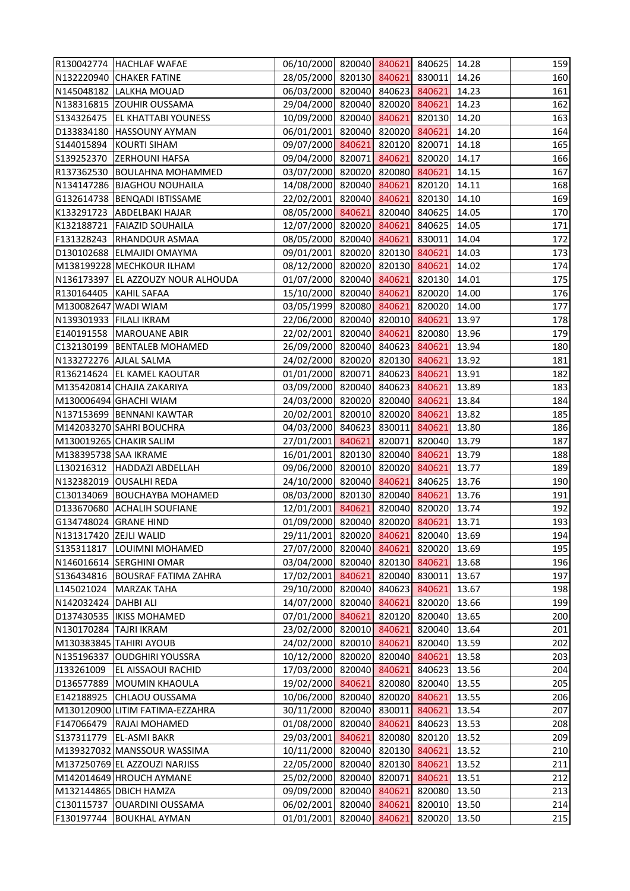|                         | R130042774 HACHLAF WAFAE                                | 06/10/2000 820040 840621 840625 14.28         |        |        |                  |                | 159        |
|-------------------------|---------------------------------------------------------|-----------------------------------------------|--------|--------|------------------|----------------|------------|
|                         | N132220940 CHAKER FATINE                                | 28/05/2000 820130 840621 830011 14.26         |        |        |                  |                | 160        |
|                         | N145048182 LALKHA MOUAD                                 | 06/03/2000 820040 840623 840621               |        |        |                  | 14.23          | 161        |
|                         | N138316815 ZOUHIR OUSSAMA                               | 29/04/2000 820040 820020 840621               |        |        |                  | 14.23          | 162        |
|                         | S134326475 EL KHATTABI YOUNESS                          | 10/09/2000 820040 840621 820130 14.20         |        |        |                  |                | 163        |
|                         | D133834180 HASSOUNY AYMAN                               | 06/01/2001 820040 820020 840621               |        |        |                  | 14.20          | 164        |
|                         | S144015894 KOURTI SIHAM                                 | 09/07/2000 840621 820120 820071 14.18         |        |        |                  |                | 165        |
|                         | S139252370 ZERHOUNI HAFSA                               | 09/04/2000 820071 840621                      |        |        | 820020           | 14.17          | 166        |
|                         | R137362530 BOULAHNA MOHAMMED                            | 03/07/2000 820020 820080 840621               |        |        |                  | 14.15          | 167        |
|                         | N134147286 BJAGHOU NOUHAILA                             | 14/08/2000 820040 840621 820120 14.11         |        |        |                  |                | 168        |
|                         | G132614738  BENQADI IBTISSAME                           | 22/02/2001 820040 840621 820130 14.10         |        |        |                  |                | 169        |
|                         | K133291723 ABDELBAKI HAJAR                              | 08/05/2000 840621 820040 840625 14.05         |        |        |                  |                | 170        |
|                         | K132188721 FAIAZID SOUHAILA                             | 12/07/2000 820020 840621 840625               |        |        |                  | 14.05          | 171        |
|                         | F131328243 RHANDOUR ASMAA                               | 08/05/2000 820040 840621 830011 14.04         |        |        |                  |                | 172        |
|                         | D130102688 ELMAJIDI OMAYMA                              | 09/01/2001 820020 820130 840621               |        |        |                  | 14.03          | 173        |
|                         | M138199228 MECHKOUR ILHAM                               | 08/12/2000 820020 820130 840621 14.02         |        |        |                  |                | 174        |
|                         | N136173397 EL AZZOUZY NOUR ALHOUDA                      | 01/07/2000 820040 840621 820130 14.01         |        |        |                  |                | 175        |
| R130164405 KAHIL SAFAA  |                                                         | 15/10/2000 820040 840621 820020               |        |        |                  | 14.00          | 176        |
| M130082647 WADI WIAM    |                                                         | 03/05/1999 820080 840621 820020 14.00         |        |        |                  |                | 177        |
| N139301933 FILALI IKRAM |                                                         | 22/06/2000 820040 820010 840621 13.97         |        |        |                  |                | 178        |
|                         | E140191558   MAROUANE ABIR                              | 22/02/2001 820040 840621 820080 13.96         |        |        |                  |                | 179        |
|                         | C132130199   BENTALEB MOHAMED                           | 26/09/2000 820040 840623 840621               |        |        |                  | 13.94          | 180        |
| N133272276 AJLAL SALMA  |                                                         | 24/02/2000 820020 820130 840621               |        |        |                  | 13.92          | 181        |
|                         | R136214624 EL KAMEL KAOUTAR                             | 01/01/2000 820071 840623 840621               |        |        |                  | 13.91          | 182        |
|                         | M135420814 CHAJIA ZAKARIYA                              | 03/09/2000 820040 840623 840621               |        |        |                  | 13.89          | 183        |
|                         | M130006494 GHACHI WIAM                                  | 24/03/2000 820020 820040 840621               |        |        |                  | 13.84          | 184        |
|                         | N137153699 BENNANI KAWTAR                               | 20/02/2001 820010 820020 840621               |        |        |                  | 13.82          | 185        |
|                         | M142033270 SAHRI BOUCHRA                                | 04/03/2000 840623 830011                      |        |        | 840621           | 13.80          | 186        |
|                         | M130019265 CHAKIR SALIM                                 | 27/01/2001 840621 820071 820040 13.79         |        |        |                  |                | 187        |
| M138395738 SAA IKRAME   |                                                         | 16/01/2001 820130 820040 840621               |        |        |                  | 13.79          | 188        |
|                         | L130216312 HADDAZI ABDELLAH                             | 09/06/2000 820010 820020 840621 13.77         |        |        |                  |                | 189        |
|                         | N132382019 OUSALHI REDA                                 | 24/10/2000 820040 840621 840625 13.76         |        |        |                  |                | 190        |
|                         | C130134069 BOUCHAYBA MOHAMED                            | 08/03/2000 820130 820040 840621               |        |        |                  | 13.76          | 191        |
|                         | D133670680 ACHALIH SOUFIANE                             | 12/01/2001 840621 820040 820020 13.74         |        |        |                  |                | 192        |
| G134748024 GRANE HIND   |                                                         | 01/09/2000 820040 820020                      |        |        | 840621           | 13.71          | 193        |
| N131317420 ZEJLI WALID  |                                                         | 29/11/2001 820020 840621                      |        |        | 820040           | 13.69          | 194        |
|                         | S135311817  LOUIMNI MOHAMED                             | 27/07/2000 820040 840621                      |        |        | 820020           | 13.69          | 195        |
|                         | N146016614 SERGHINI OMAR                                | 03/04/2000 820040 820130                      |        |        | 840621           | 13.68          | 196        |
|                         | S136434816   BOUSRAF FATIMA ZAHRA                       | 17/02/2001 840621                             |        |        | 820040 830011    | 13.67          | 197        |
| L145021024              | MARZAK TAHA                                             | 29/10/2000 820040 840623                      |        |        | 840621           | 13.67          | 198        |
| N142032424 DAHBI ALI    |                                                         | 14/07/2000 820040 840621                      |        |        | 820020           | 13.66          | 199        |
|                         | D137430535   IKISS MOHAMED                              | 07/01/2000 840621                             |        | 820120 | 820040           | 13.65          | 200        |
| N130170284 TAJRI IKRAM  |                                                         | 23/02/2000 820010 840621                      |        |        | 820040 13.64     |                | 201        |
|                         | M130383845 TAHIRI AYOUB                                 | 24/02/2000 820010 840621                      |        |        | 820040           | 13.59          | 202        |
| N135196337              | <b>OUDGHIRI YOUSSRA</b>                                 | 10/12/2000 820020 820040                      |        |        | 840621           | 13.58          | 203        |
| J133261009              | <b>EL AISSAOUI RACHID</b>                               | 17/03/2000 820040 840621                      |        |        | 840623           | 13.56          | 204        |
|                         | D136577889 MOUMIN KHAOULA                               | 19/02/2000 840621                             |        | 820080 | 820040           | 13.55          | 205        |
|                         | E142188925 CHLAOU OUSSAMA                               | 10/06/2000 820040 820020                      |        |        | 840621           | 13.55          | 206        |
|                         | M130120900 LITIM FATIMA-EZZAHRA                         | 30/11/2000 820040 830011                      |        |        | 840621           | 13.54          | 207        |
| F147066479              | <b>RAJAI MOHAMED</b>                                    | 01/08/2000 820040 840621                      |        |        | 840623           | 13.53          | 208        |
|                         | S137311779   EL-ASMI BAKR                               | 29/03/2001 840621                             |        | 820080 | 820120           | 13.52          | 209        |
|                         | M139327032 MANSSOUR WASSIMA                             | 10/11/2000 820040 820130                      |        |        | 840621           | 13.52          | 210        |
|                         | M137250769 EL AZZOUZI NARJISS                           | 22/05/2000 820040                             |        | 820130 | 840621           | 13.52          | 211        |
|                         | M142014649 HROUCH AYMANE                                | 25/02/2000 820040 820071                      |        |        | 840621           | 13.51          | 212        |
|                         | M132144865 DBICH HAMZA<br>C130115737   OUARDINI OUSSAMA | 09/09/2000 820040<br>06/02/2001 820040 840621 |        | 840621 | 820080<br>820010 | 13.50<br>13.50 | 213<br>214 |
| F130197744              | <b>BOUKHAL AYMAN</b>                                    | 01/01/2001                                    | 820040 | 840621 | 820020           | 13.50          | 215        |
|                         |                                                         |                                               |        |        |                  |                |            |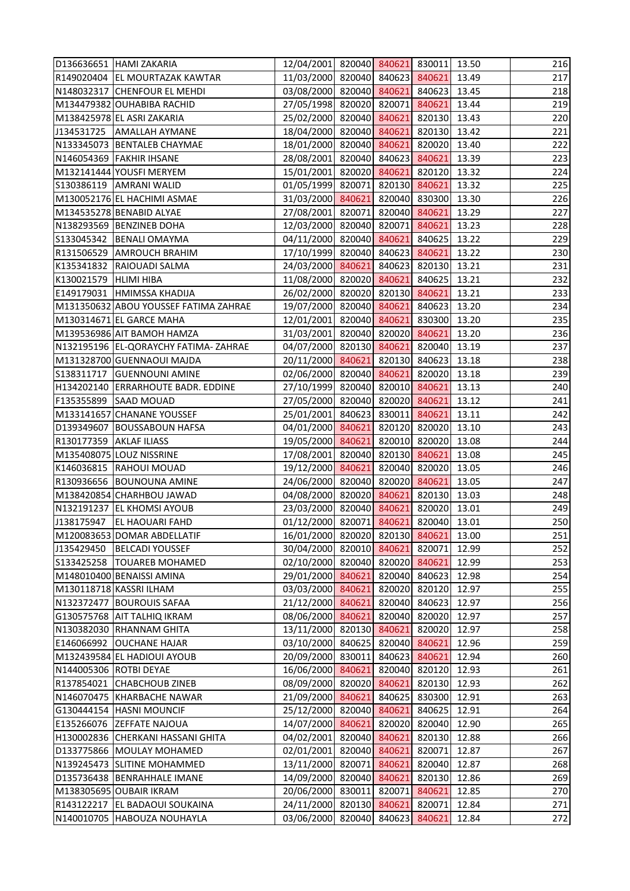|                         | D136636651 HAMI ZAKARIA               | 12/04/2001 820040 840621 830011 13.50 |        |        |              |       | 216 |
|-------------------------|---------------------------------------|---------------------------------------|--------|--------|--------------|-------|-----|
|                         | R149020404 EL MOURTAZAK KAWTAR        | 11/03/2000 820040 840623 840621 13.49 |        |        |              |       | 217 |
|                         | N148032317 CHENFOUR EL MEHDI          | 03/08/2000 820040 840621 840623 13.45 |        |        |              |       | 218 |
|                         | M134479382 OUHABIBA RACHID            | 27/05/1998 820020 820071 840621 13.44 |        |        |              |       | 219 |
|                         | M138425978 EL ASRI ZAKARIA            | 25/02/2000 820040 840621 820130 13.43 |        |        |              |       | 220 |
|                         | J134531725   AMALLAH AYMANE           | 18/04/2000 820040 840621 820130 13.42 |        |        |              |       | 221 |
|                         | N133345073 BENTALEB CHAYMAE           | 18/01/2000 820040 840621 820020 13.40 |        |        |              |       | 222 |
|                         | N146054369 FAKHIR IHSANE              | 28/08/2001 820040 840623 840621 13.39 |        |        |              |       | 223 |
|                         | M132141444 YOUSFI MERYEM              | 15/01/2001 820020 840621 820120 13.32 |        |        |              |       | 224 |
|                         | S130386119 AMRANI WALID               | 01/05/1999 820071 820130 840621 13.32 |        |        |              |       | 225 |
|                         | M130052176 EL HACHIMI ASMAE           | 31/03/2000 840621 820040 830300 13.30 |        |        |              |       | 226 |
|                         | M134535278 BENABID ALYAE              | 27/08/2001 820071 820040 840621 13.29 |        |        |              |       | 227 |
|                         | N138293569 BENZINEB DOHA              | 12/03/2000 820040 820071 840621       |        |        |              | 13.23 | 228 |
|                         | S133045342 BENALI OMAYMA              | 04/11/2000 820040 840621 840625 13.22 |        |        |              |       | 229 |
|                         | R131506529 AMROUCH BRAHIM             | 17/10/1999 820040 840623 840621 13.22 |        |        |              |       | 230 |
|                         | K135341832 RAIOUADI SALMA             | 24/03/2000 840621 840623 820130 13.21 |        |        |              |       | 231 |
| K130021579 HLIMI HIBA   |                                       | 11/08/2000 820020 840621 840625 13.21 |        |        |              |       | 232 |
|                         | E149179031 HMIMSSA KHADIJA            | 26/02/2000 820020 820130 840621       |        |        |              | 13.21 | 233 |
|                         | M131350632 ABOU YOUSSEF FATIMA ZAHRAE | 19/07/2000 820040 840621 840623 13.20 |        |        |              |       | 234 |
|                         | M130314671 EL GARCE MAHA              | 12/01/2001 820040 840621 830300 13.20 |        |        |              |       | 235 |
|                         | M139536986 AIT BAMOH HAMZA            | 31/03/2001 820040 820020 840621 13.20 |        |        |              |       | 236 |
|                         | N132195196 EL-QORAYCHY FATIMA-ZAHRAE  | 04/07/2000 820130 840621 820040 13.19 |        |        |              |       | 237 |
|                         | M131328700 GUENNAOUI MAJDA            | 20/11/2000 840621 820130 840623 13.18 |        |        |              |       | 238 |
|                         | S138311717 GUENNOUNI AMINE            | 02/06/2000 820040 840621 820020 13.18 |        |        |              |       | 239 |
|                         | H134202140 ERRARHOUTE BADR. EDDINE    | 27/10/1999 820040 820010 840621 13.13 |        |        |              |       | 240 |
|                         | F135355899 SAAD MOUAD                 | 27/05/2000 820040 820020 840621 13.12 |        |        |              |       | 241 |
|                         | M133141657 CHANANE YOUSSEF            | 25/01/2001 840623 830011 840621       |        |        |              | 13.11 | 242 |
|                         | D139349607 BOUSSABOUN HAFSA           | 04/01/2000 840621 820120 820020       |        |        |              | 13.10 | 243 |
| R130177359 AKLAF ILIASS |                                       | 19/05/2000 840621 820010 820020 13.08 |        |        |              |       | 244 |
|                         | M135408075 LOUZ NISSRINE              | 17/08/2001 820040 820130 840621 13.08 |        |        |              |       | 245 |
|                         | K146036815 RAHOUI MOUAD               | 19/12/2000 840621 820040 820020 13.05 |        |        |              |       | 246 |
|                         | R130936656 BOUNOUNA AMINE             | 24/06/2000 820040 820020 840621 13.05 |        |        |              |       | 247 |
|                         | M138420854 CHARHBOU JAWAD             | 04/08/2000 820020 840621              |        |        | 820130 13.03 |       | 248 |
|                         | N132191237 EL KHOMSI AYOUB            | 23/03/2000 820040 840621 820020 13.01 |        |        |              |       | 249 |
| J138175947              | <b>EL HAOUARI FAHD</b>                | 01/12/2000 820071 840621              |        |        | 820040       | 13.01 | 250 |
|                         | M120083653 DOMAR ABDELLATIF           | 16/01/2000 820020 820130              |        |        | 840621       | 13.00 | 251 |
| J135429450              | <b>BELCADI YOUSSEF</b>                | 30/04/2000 820010 840621              |        |        | 820071       | 12.99 | 252 |
|                         | S133425258  TOUAREB MOHAMED           | 02/10/2000 820040                     |        | 820020 | 840621       | 12.99 | 253 |
|                         | M148010400 BENAISSI AMINA             | 29/01/2000 840621                     |        | 820040 | 840623       | 12.98 | 254 |
|                         | M130118718 KASSRI ILHAM               | 03/03/2000 840621                     |        | 820020 | 820120       | 12.97 | 255 |
|                         | N132372477 BOUROUIS SAFAA             | 21/12/2000 840621                     |        | 820040 | 840623       | 12.97 | 256 |
|                         | G130575768 AIT TALHIQ IKRAM           | 08/06/2000 840621                     |        | 820040 | 820020       | 12.97 | 257 |
|                         | N130382030 RHANNAM GHITA              | 13/11/2000 820130 840621              |        |        | 820020       | 12.97 | 258 |
|                         | E146066992 OUCHANE HAJAR              | 03/10/2000 840625                     |        | 820040 | 840621       | 12.96 | 259 |
|                         | M132439584 EL HADIOUI AYOUB           | 20/09/2000 830011                     |        | 840623 | 840621       | 12.94 | 260 |
| N144005306 ROTBI DEYAE  |                                       | 16/06/2000 840621                     |        | 820040 | 820120       | 12.93 | 261 |
|                         | R137854021 CHABCHOUB ZINEB            | 08/09/2000 820020 840621              |        |        | 820130       | 12.93 | 262 |
|                         | N146070475 KHARBACHE NAWAR            | 21/09/2000 840621                     |        | 840625 | 830300       | 12.91 | 263 |
| G130444154              | <b>HASNI MOUNCIF</b>                  | 25/12/2000 820040 840621              |        |        | 840625       | 12.91 | 264 |
| E135266076              | <b>ZEFFATE NAJOUA</b>                 | 14/07/2000                            | 840621 | 820020 | 820040       | 12.90 | 265 |
|                         | H130002836 CHERKANI HASSANI GHITA     | 04/02/2001 820040 840621              |        |        | 820130       | 12.88 | 266 |
|                         | D133775866 MOULAY MOHAMED             | 02/01/2001                            | 820040 | 840621 | 820071       | 12.87 | 267 |
|                         | N139245473 SLITINE MOHAMMED           | 13/11/2000 820071 840621              |        |        | 820040       | 12.87 | 268 |
|                         | D135736438 BENRAHHALE IMANE           | 14/09/2000 820040 840621              |        |        | 820130       | 12.86 | 269 |
|                         | M138305695 OUBAIR IKRAM               | 20/06/2000 830011                     |        | 820071 | 840621       | 12.85 | 270 |
|                         | R143122217 EL BADAOUI SOUKAINA        | 24/11/2000 820130 840621              |        |        | 820071       | 12.84 | 271 |
|                         | N140010705 HABOUZA NOUHAYLA           | 03/06/2000 820040                     |        | 840623 | 840621       | 12.84 | 272 |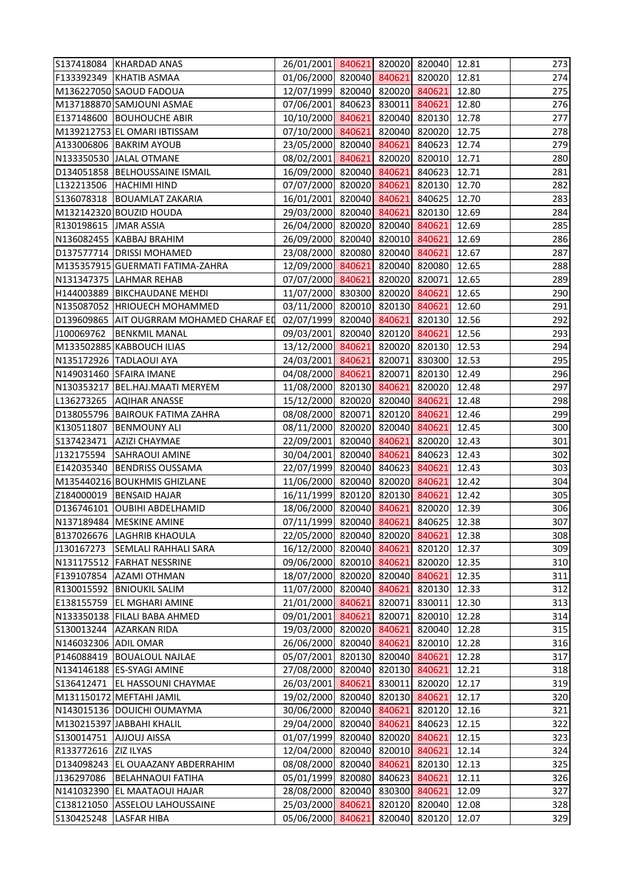|                       | S137418084 KHARDAD ANAS                  | 26/01/2001 840621 820020 820040 12.81 |               |        |       | 273 |
|-----------------------|------------------------------------------|---------------------------------------|---------------|--------|-------|-----|
|                       | F133392349 KHATIB ASMAA                  | 01/06/2000 820040 840621 820020 12.81 |               |        |       | 274 |
|                       | M136227050 SAOUD FADOUA                  | 12/07/1999 820040 820020 840621       |               |        | 12.80 | 275 |
|                       | M137188870 SAMJOUNI ASMAE                | 07/06/2001 840623 830011 840621       |               |        | 12.80 | 276 |
|                       | E137148600 BOUHOUCHE ABIR                | 10/10/2000 840621 820040 820130 12.78 |               |        |       | 277 |
|                       | M139212753 EL OMARI IBTISSAM             | 07/10/2000 840621 820040 820020 12.75 |               |        |       | 278 |
|                       | A133006806 BAKRIM AYOUB                  | 23/05/2000 820040 840621 840623 12.74 |               |        |       | 279 |
|                       | N133350530 JALAL OTMANE                  | 08/02/2001 840621 820020 820010       |               |        | 12.71 | 280 |
|                       | D134051858 BELHOUSSAINE ISMAIL           | 16/09/2000 820040 840621 840623 12.71 |               |        |       | 281 |
|                       | L132213506 HACHIMI HIND                  | 07/07/2000 820020 840621 820130 12.70 |               |        |       | 282 |
|                       | S136078318 BOUAMLAT ZAKARIA              | 16/01/2001 820040 840621 840625 12.70 |               |        |       | 283 |
|                       | M132142320 BOUZID HOUDA                  | 29/03/2000 820040 840621 820130 12.69 |               |        |       | 284 |
| R130198615 JMAR ASSIA |                                          | 26/04/2000 820020 820040 840621       |               |        | 12.69 | 285 |
|                       | N136082455 KABBAJ BRAHIM                 | 26/09/2000 820040 820010 840621       |               |        | 12.69 | 286 |
|                       | D137577714 DRISSI MOHAMED                | 23/08/2000 820080 820040 840621       |               |        | 12.67 | 287 |
|                       | M135357915 GUERMATI FATIMA-ZAHRA         | 12/09/2000 840621 820040 820080 12.65 |               |        |       | 288 |
|                       | N131347375 LAHMAR REHAB                  | 07/07/2000 840621 820020 820071 12.65 |               |        |       | 289 |
|                       | H144003889   BIKCHAUDANE MEHDI           | 11/07/2000 830300 820020 840621       |               |        | 12.65 | 290 |
|                       | N135087052 HRIOUECH MOHAMMED             | 03/11/2000 820010 820130 840621       |               |        | 12.60 | 291 |
|                       | D139609865 AIT OUGRRAM MOHAMED CHARAF ED | 02/07/1999 820040 840621 820130 12.56 |               |        |       | 292 |
| J100069762            | <b>BENKMIL MANAL</b>                     | 09/03/2001 820040 820120 840621       |               |        | 12.56 | 293 |
|                       | M133502885 KABBOUCH ILIAS                | 13/12/2000 840621 820020 820130 12.53 |               |        |       | 294 |
|                       | N135172926 TADLAOUI AYA                  | 24/03/2001 840621 820071 830300       |               |        | 12.53 | 295 |
|                       | N149031460 SFAIRA IMANE                  | 04/08/2000 840621 820071 820130 12.49 |               |        |       | 296 |
|                       | N130353217   BEL.HAJ.MAATI MERYEM        | 11/08/2000 820130 840621 820020 12.48 |               |        |       | 297 |
|                       | L136273265 AQIHAR ANASSE                 | 15/12/2000 820020 820040 840621       |               |        | 12.48 | 298 |
|                       | D138055796 BAIROUK FATIMA ZAHRA          | 08/08/2000 820071 820120 840621       |               |        | 12.46 | 299 |
| K130511807            | <b>BENMOUNY ALI</b>                      | 08/11/2000 820020 820040              |               | 840621 | 12.45 | 300 |
|                       | S137423471   AZIZI CHAYMAE               | 22/09/2001 820040 840621 820020 12.43 |               |        |       | 301 |
| J132175594            | <b>SAHRAOUI AMINE</b>                    | 30/04/2001 820040 840621 840623       |               |        | 12.43 | 302 |
|                       | E142035340   BENDRISS OUSSAMA            | 22/07/1999 820040 840623 840621       |               |        | 12.43 | 303 |
|                       | M135440216 BOUKHMIS GHIZLANE             | 11/06/2000 820040 820020 840621 12.42 |               |        |       | 304 |
|                       | Z184000019   BENSAID HAJAR               | 16/11/1999 820120 820130 840621       |               |        | 12.42 | 305 |
|                       | D136746101 OUBIHI ABDELHAMID             | 18/06/2000 820040 840621 820020 12.39 |               |        |       | 306 |
|                       | N137189484 MESKINE AMINE                 | 07/11/1999 820040 840621              |               | 840625 | 12.38 | 307 |
|                       | B137026676 LAGHRIB KHAOULA               | 22/05/2000 820040 820020              |               | 840621 | 12.38 | 308 |
| J130167273            | <b>SEMLALI RAHHALI SARA</b>              | 16/12/2000 820040 840621              |               | 820120 | 12.37 | 309 |
|                       | N131175512 FARHAT NESSRINE               | 09/06/2000 820010 840621              |               | 820020 | 12.35 | 310 |
| F139107854            | <b>AZAMI OTHMAN</b>                      | 18/07/2000 820020 820040              |               | 840621 | 12.35 | 311 |
| R130015592            | <b>BNIOUKIL SALIM</b>                    | 11/07/2000 820040 840621              |               | 820130 | 12.33 | 312 |
|                       | E138155759 EL MGHARI AMINE               | 21/01/2000 840621                     | 820071        | 830011 | 12.30 | 313 |
|                       | N133350138 FILALI BABA AHMED             | 09/01/2001 840621                     | 820071        | 820010 | 12.28 | 314 |
| S130013244            | <b>AZARKAN RIDA</b>                      | 19/03/2000 820020 840621              |               | 820040 | 12.28 | 315 |
| N146032306 ADIL OMAR  |                                          | 26/06/2000 820040 840621              |               | 820010 | 12.28 | 316 |
| P146088419            | <b>BOUALOUL NAJLAE</b>                   | 05/07/2001                            | 820130 820040 | 840621 | 12.28 | 317 |
|                       | N134146188 ES-SYAGI AMINE                | 27/08/2000 820040 820130              |               | 840621 | 12.21 | 318 |
|                       | S136412471   EL HASSOUNI CHAYMAE         | 26/03/2001 840621                     | 830011        | 820020 | 12.17 | 319 |
|                       | M131150172 MEFTAHI JAMIL                 | 19/02/2000 820040 820130              |               | 840621 | 12.17 | 320 |
|                       | N143015136 DOUICHI OUMAYMA               | 30/06/2000 820040 840621              |               | 820120 | 12.16 | 321 |
|                       | M130215397 JABBAHI KHALIL                | 29/04/2000 820040                     | 840621        | 840623 | 12.15 | 322 |
| S130014751            | <b>AJJOUJ AISSA</b>                      | 01/07/1999 820040 820020              |               | 840621 | 12.15 | 323 |
| R133772616 ZIZ ILYAS  |                                          | 12/04/2000 820040                     | 820010        | 840621 | 12.14 | 324 |
|                       | D134098243 EL OUAAZANY ABDERRAHIM        | 08/08/2000 820040                     | 840621        | 820130 | 12.13 | 325 |
| J136297086            | <b>BELAHNAOUI FATIHA</b>                 | 05/01/1999 820080                     | 840623        | 840621 | 12.11 | 326 |
| N141032390            | <b>EL MAATAOUI HAJAR</b>                 | 28/08/2000 820040                     | 830300        | 840621 | 12.09 | 327 |
| C138121050            | <b>ASSELOU LAHOUSSAINE</b>               | 25/03/2000 840621                     | 820120        | 820040 | 12.08 | 328 |
| S130425248            | LASFAR HIBA                              | 05/06/2000 840621                     | 820040        | 820120 | 12.07 | 329 |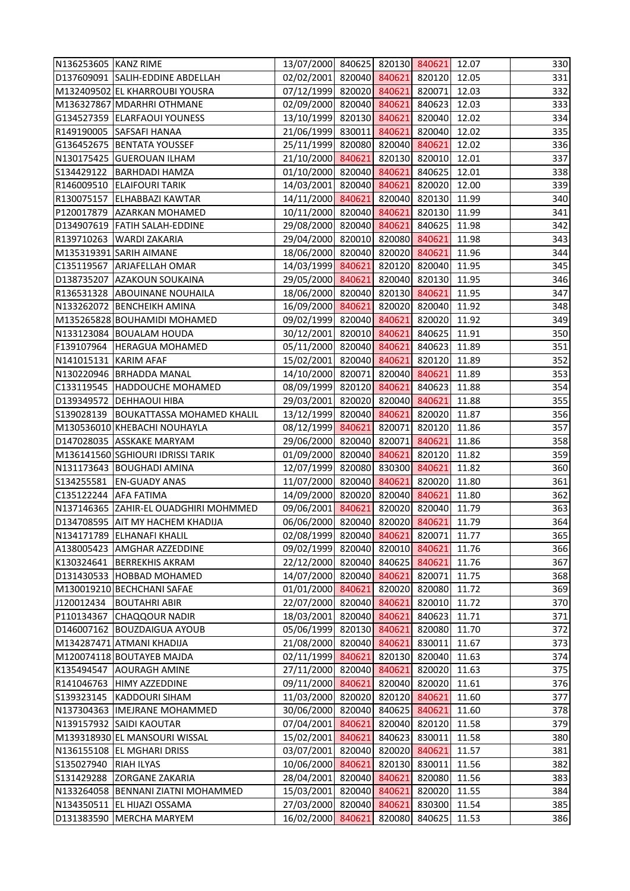| 02/02/2001 820040 840621 820120 12.05<br>D137609091 SALIH-EDDINE ABDELLAH<br>07/12/1999 820020 840621 820071 12.03<br>M132409502 EL KHARROUBI YOUSRA<br>02/09/2000 820040 840621 840623 12.03<br>M136327867 MDARHRI OTHMANE<br>13/10/1999 820130 840621 820040 12.02<br>G134527359 ELARFAOUI YOUNESS<br>R149190005 SAFSAFI HANAA<br>21/06/1999 830011 840621 820040 12.02<br>25/11/1999 820080 820040 840621 12.02<br>G136452675 BENTATA YOUSSEF<br>820130 820010 12.01<br>N130175425 GUEROUAN ILHAM<br>21/10/2000 840621<br>01/10/2000 820040 840621 840625 12.01<br>S134429122 BARHDADI HAMZA<br>14/03/2001 820040 840621 820020 12.00<br>R146009510 ELAIFOURI TARIK<br>14/11/2000 840621 820040 820130 11.99<br>R130075157 ELHABBAZI KAWTAR<br>10/11/2000 820040 840621 820130 11.99<br>P120017879 AZARKAN MOHAMED<br>29/08/2000 820040 840621 840625 11.98<br>D134907619 FATIH SALAH-EDDINE<br>29/04/2000 820010 820080 840621 11.98<br>R139710263 WARDI ZAKARIA<br>18/06/2000 820040 820020 840621 11.96<br>M135319391 SARIH AIMANE<br>14/03/1999 840621 820120 820040 11.95<br>C135119567 ARJAFELLAH OMAR<br>29/05/2000 840621 820040 820130 11.95<br>D138735207 AZAKOUN SOUKAINA<br>18/06/2000 820040 820130 840621<br>R136531328 ABOUINANE NOUHAILA<br>11.95<br>16/09/2000 840621 820020 820040 11.92<br>N133262072 BENCHEIKH AMINA<br>09/02/1999 820040 840621 820020 11.92<br>M135265828 BOUHAMIDI MOHAMED<br>30/12/2001 820010 840621 840625 11.91<br>N133123084 BOUALAM HOUDA<br>05/11/2000 820040 840621 840623 11.89<br>F139107964 HERAGUA MOHAMED<br>15/02/2001 820040 840621<br>820120 11.89<br>N141015131 KARIM AFAF<br>14/10/2000 820071 820040 840621 11.89<br>N130220946 BRHADDA MANAL<br>08/09/1999 820120 840621<br>840623 11.88<br>C133119545  HADDOUCHE MOHAMED<br>29/03/2001 820020 820040 840621 11.88<br>D139349572 DEHHAOUI HIBA<br>13/12/1999 820040 840621 820020 11.87<br>S139028139   BOUKATTASSA MOHAMED KHALIL<br>M130536010 KHEBACHI NOUHAYLA<br>08/12/1999 840621 820071 820120 11.86<br>29/06/2000 820040 820071 840621 11.86<br>D147028035 ASSKAKE MARYAM<br>820120 11.82<br>01/09/2000 820040 840621<br>M136141560 SGHIOURI IDRISSI TARIK<br>12/07/1999 820080 830300 840621 11.82<br>N131173643 BOUGHADI AMINA<br>S134255581 EN-GUADY ANAS<br>11/07/2000 820040 840621 820020 11.80<br>14/09/2000 820020 820040 840621<br>C135122244 AFA FATIMA<br>11.80<br>09/06/2001 840621 820020 820040 11.79<br>N137146365 ZAHIR-EL OUADGHIRI MOHMMED<br>06/06/2000 820040 820020 840621<br>D134708595 AIT MY HACHEM KHADIJA<br>11.79<br>N134171789 ELHANAFI KHALIL<br>02/08/1999 820040 840621 820071<br>11.77<br>09/02/1999 820040 820010 840621<br>11.76<br>A138005423 AMGHAR AZZEDDINE<br>K130324641<br>22/12/2000 820040 840625 840621<br>11.76<br><b>BERREKHIS AKRAM</b><br>14/07/2000 820040 840621<br>11.75<br>D131430533 HOBBAD MOHAMED<br>820071<br>820020<br>M130019210 BECHCHANI SAFAE<br>01/01/2000 840621<br>820080<br>11.72<br>22/07/2000 820040 840621<br>820010 11.72<br><b>BOUTAHRI ABIR</b><br>840623<br>P110134367 CHAQQOUR NADIR<br>18/03/2001 820040 840621<br>11.71<br>D146007162 BOUZDAIGUA AYOUB<br>05/06/1999 820130 840621<br>820080 11.70<br>21/08/2000 820040 840621<br>830011<br>11.67<br>M134287471 ATMANI KHADIJA<br>02/11/1999 840621<br>820130 820040<br>M120074118 BOUTAYEB MAJDA<br>11.63<br><b>AOURAGH AMINE</b><br>27/11/2000 820040 840621<br>820020 11.63<br>09/11/2000 840621<br>820040 820020<br>11.61<br>R141046763 HIMY AZZEDDINE<br>S139323145 KADDOURI SIHAM<br>11/03/2000 820020 820120 840621<br>11.60<br>N137304363  IMEJRANE MOHAMMED<br>30/06/2000 820040<br>840625 840621<br>11.60<br>N139157932 SAIDI KAOUTAR<br>07/04/2001<br>840621<br>820040 820120<br>11.58<br>15/02/2001 840621<br>840623 830011<br>11.58<br>M139318930 EL MANSOURI WISSAL<br>03/07/2001 820040 820020 840621<br>N136155108 EL MGHARI DRISS<br>11.57<br>10/06/2000 840621<br>820130 830011<br>11.56<br>S135027940 RIAH ILYAS<br>S131429288 ZORGANE ZAKARIA<br>28/04/2001 820040 840621<br>820080<br>11.56<br>820020<br>N133264058 BENNANI ZIATNI MOHAMMED<br>15/03/2001 820040<br>840621<br>11.55<br>N134350511 EL HIJAZI OSSAMA<br>27/03/2000 820040<br>840621<br>830300<br>11.54<br>D131383590 MERCHA MARYEM<br>16/02/2000 840621<br>820080<br>840625 11.53 | N136253605 KANZ RIME | 13/07/2000 840625 820130 840621 12.07 |  |  | 330 |
|----------------------------------------------------------------------------------------------------------------------------------------------------------------------------------------------------------------------------------------------------------------------------------------------------------------------------------------------------------------------------------------------------------------------------------------------------------------------------------------------------------------------------------------------------------------------------------------------------------------------------------------------------------------------------------------------------------------------------------------------------------------------------------------------------------------------------------------------------------------------------------------------------------------------------------------------------------------------------------------------------------------------------------------------------------------------------------------------------------------------------------------------------------------------------------------------------------------------------------------------------------------------------------------------------------------------------------------------------------------------------------------------------------------------------------------------------------------------------------------------------------------------------------------------------------------------------------------------------------------------------------------------------------------------------------------------------------------------------------------------------------------------------------------------------------------------------------------------------------------------------------------------------------------------------------------------------------------------------------------------------------------------------------------------------------------------------------------------------------------------------------------------------------------------------------------------------------------------------------------------------------------------------------------------------------------------------------------------------------------------------------------------------------------------------------------------------------------------------------------------------------------------------------------------------------------------------------------------------------------------------------------------------------------------------------------------------------------------------------------------------------------------------------------------------------------------------------------------------------------------------------------------------------------------------------------------------------------------------------------------------------------------------------------------------------------------------------------------------------------------------------------------------------------------------------------------------------------------------------------------------------------------------------------------------------------------------------------------------------------------------------------------------------------------------------------------------------------------------------------------------------------------------------------------------------------------------------------------------------------------------------------------------------------------------------------------------------------------------------------------------------------------------------------------------------------------------------------------------------------------------------------------------------------------------------------------------------------------------------------------------------------------------------------------------------------------------------------------------------------------------------------------------------------------------------------------------------------------------------------------------------------------------------------------------------------------|----------------------|---------------------------------------|--|--|-----|
|                                                                                                                                                                                                                                                                                                                                                                                                                                                                                                                                                                                                                                                                                                                                                                                                                                                                                                                                                                                                                                                                                                                                                                                                                                                                                                                                                                                                                                                                                                                                                                                                                                                                                                                                                                                                                                                                                                                                                                                                                                                                                                                                                                                                                                                                                                                                                                                                                                                                                                                                                                                                                                                                                                                                                                                                                                                                                                                                                                                                                                                                                                                                                                                                                                                                                                                                                                                                                                                                                                                                                                                                                                                                                                                                                                                                                                                                                                                                                                                                                                                                                                                                                                                                                                                                                                                      |                      |                                       |  |  | 331 |
| 333<br>334<br>335<br>336<br>337<br>341<br>342<br>351<br>363<br>364<br>365<br>368<br>370<br>371<br>372<br>375<br>377<br>378<br>380<br>381<br>382<br>383<br>384                                                                                                                                                                                                                                                                                                                                                                                                                                                                                                                                                                                                                                                                                                                                                                                                                                                                                                                                                                                                                                                                                                                                                                                                                                                                                                                                                                                                                                                                                                                                                                                                                                                                                                                                                                                                                                                                                                                                                                                                                                                                                                                                                                                                                                                                                                                                                                                                                                                                                                                                                                                                                                                                                                                                                                                                                                                                                                                                                                                                                                                                                                                                                                                                                                                                                                                                                                                                                                                                                                                                                                                                                                                                                                                                                                                                                                                                                                                                                                                                                                                                                                                                                        |                      |                                       |  |  | 332 |
|                                                                                                                                                                                                                                                                                                                                                                                                                                                                                                                                                                                                                                                                                                                                                                                                                                                                                                                                                                                                                                                                                                                                                                                                                                                                                                                                                                                                                                                                                                                                                                                                                                                                                                                                                                                                                                                                                                                                                                                                                                                                                                                                                                                                                                                                                                                                                                                                                                                                                                                                                                                                                                                                                                                                                                                                                                                                                                                                                                                                                                                                                                                                                                                                                                                                                                                                                                                                                                                                                                                                                                                                                                                                                                                                                                                                                                                                                                                                                                                                                                                                                                                                                                                                                                                                                                                      |                      |                                       |  |  |     |
|                                                                                                                                                                                                                                                                                                                                                                                                                                                                                                                                                                                                                                                                                                                                                                                                                                                                                                                                                                                                                                                                                                                                                                                                                                                                                                                                                                                                                                                                                                                                                                                                                                                                                                                                                                                                                                                                                                                                                                                                                                                                                                                                                                                                                                                                                                                                                                                                                                                                                                                                                                                                                                                                                                                                                                                                                                                                                                                                                                                                                                                                                                                                                                                                                                                                                                                                                                                                                                                                                                                                                                                                                                                                                                                                                                                                                                                                                                                                                                                                                                                                                                                                                                                                                                                                                                                      |                      |                                       |  |  |     |
|                                                                                                                                                                                                                                                                                                                                                                                                                                                                                                                                                                                                                                                                                                                                                                                                                                                                                                                                                                                                                                                                                                                                                                                                                                                                                                                                                                                                                                                                                                                                                                                                                                                                                                                                                                                                                                                                                                                                                                                                                                                                                                                                                                                                                                                                                                                                                                                                                                                                                                                                                                                                                                                                                                                                                                                                                                                                                                                                                                                                                                                                                                                                                                                                                                                                                                                                                                                                                                                                                                                                                                                                                                                                                                                                                                                                                                                                                                                                                                                                                                                                                                                                                                                                                                                                                                                      |                      |                                       |  |  |     |
|                                                                                                                                                                                                                                                                                                                                                                                                                                                                                                                                                                                                                                                                                                                                                                                                                                                                                                                                                                                                                                                                                                                                                                                                                                                                                                                                                                                                                                                                                                                                                                                                                                                                                                                                                                                                                                                                                                                                                                                                                                                                                                                                                                                                                                                                                                                                                                                                                                                                                                                                                                                                                                                                                                                                                                                                                                                                                                                                                                                                                                                                                                                                                                                                                                                                                                                                                                                                                                                                                                                                                                                                                                                                                                                                                                                                                                                                                                                                                                                                                                                                                                                                                                                                                                                                                                                      |                      |                                       |  |  |     |
| 338<br>339<br>340<br>343<br>344<br>345<br>346<br>347<br>348<br>349<br>350<br>352<br>353<br>354<br>355<br>356<br>357<br>358<br>359<br>360<br>361<br>362<br>366<br>367<br>369<br>373<br>374<br>376<br>379<br>385<br>386                                                                                                                                                                                                                                                                                                                                                                                                                                                                                                                                                                                                                                                                                                                                                                                                                                                                                                                                                                                                                                                                                                                                                                                                                                                                                                                                                                                                                                                                                                                                                                                                                                                                                                                                                                                                                                                                                                                                                                                                                                                                                                                                                                                                                                                                                                                                                                                                                                                                                                                                                                                                                                                                                                                                                                                                                                                                                                                                                                                                                                                                                                                                                                                                                                                                                                                                                                                                                                                                                                                                                                                                                                                                                                                                                                                                                                                                                                                                                                                                                                                                                                |                      |                                       |  |  |     |
|                                                                                                                                                                                                                                                                                                                                                                                                                                                                                                                                                                                                                                                                                                                                                                                                                                                                                                                                                                                                                                                                                                                                                                                                                                                                                                                                                                                                                                                                                                                                                                                                                                                                                                                                                                                                                                                                                                                                                                                                                                                                                                                                                                                                                                                                                                                                                                                                                                                                                                                                                                                                                                                                                                                                                                                                                                                                                                                                                                                                                                                                                                                                                                                                                                                                                                                                                                                                                                                                                                                                                                                                                                                                                                                                                                                                                                                                                                                                                                                                                                                                                                                                                                                                                                                                                                                      |                      |                                       |  |  |     |
|                                                                                                                                                                                                                                                                                                                                                                                                                                                                                                                                                                                                                                                                                                                                                                                                                                                                                                                                                                                                                                                                                                                                                                                                                                                                                                                                                                                                                                                                                                                                                                                                                                                                                                                                                                                                                                                                                                                                                                                                                                                                                                                                                                                                                                                                                                                                                                                                                                                                                                                                                                                                                                                                                                                                                                                                                                                                                                                                                                                                                                                                                                                                                                                                                                                                                                                                                                                                                                                                                                                                                                                                                                                                                                                                                                                                                                                                                                                                                                                                                                                                                                                                                                                                                                                                                                                      |                      |                                       |  |  |     |
|                                                                                                                                                                                                                                                                                                                                                                                                                                                                                                                                                                                                                                                                                                                                                                                                                                                                                                                                                                                                                                                                                                                                                                                                                                                                                                                                                                                                                                                                                                                                                                                                                                                                                                                                                                                                                                                                                                                                                                                                                                                                                                                                                                                                                                                                                                                                                                                                                                                                                                                                                                                                                                                                                                                                                                                                                                                                                                                                                                                                                                                                                                                                                                                                                                                                                                                                                                                                                                                                                                                                                                                                                                                                                                                                                                                                                                                                                                                                                                                                                                                                                                                                                                                                                                                                                                                      |                      |                                       |  |  |     |
|                                                                                                                                                                                                                                                                                                                                                                                                                                                                                                                                                                                                                                                                                                                                                                                                                                                                                                                                                                                                                                                                                                                                                                                                                                                                                                                                                                                                                                                                                                                                                                                                                                                                                                                                                                                                                                                                                                                                                                                                                                                                                                                                                                                                                                                                                                                                                                                                                                                                                                                                                                                                                                                                                                                                                                                                                                                                                                                                                                                                                                                                                                                                                                                                                                                                                                                                                                                                                                                                                                                                                                                                                                                                                                                                                                                                                                                                                                                                                                                                                                                                                                                                                                                                                                                                                                                      |                      |                                       |  |  |     |
|                                                                                                                                                                                                                                                                                                                                                                                                                                                                                                                                                                                                                                                                                                                                                                                                                                                                                                                                                                                                                                                                                                                                                                                                                                                                                                                                                                                                                                                                                                                                                                                                                                                                                                                                                                                                                                                                                                                                                                                                                                                                                                                                                                                                                                                                                                                                                                                                                                                                                                                                                                                                                                                                                                                                                                                                                                                                                                                                                                                                                                                                                                                                                                                                                                                                                                                                                                                                                                                                                                                                                                                                                                                                                                                                                                                                                                                                                                                                                                                                                                                                                                                                                                                                                                                                                                                      |                      |                                       |  |  |     |
|                                                                                                                                                                                                                                                                                                                                                                                                                                                                                                                                                                                                                                                                                                                                                                                                                                                                                                                                                                                                                                                                                                                                                                                                                                                                                                                                                                                                                                                                                                                                                                                                                                                                                                                                                                                                                                                                                                                                                                                                                                                                                                                                                                                                                                                                                                                                                                                                                                                                                                                                                                                                                                                                                                                                                                                                                                                                                                                                                                                                                                                                                                                                                                                                                                                                                                                                                                                                                                                                                                                                                                                                                                                                                                                                                                                                                                                                                                                                                                                                                                                                                                                                                                                                                                                                                                                      |                      |                                       |  |  |     |
|                                                                                                                                                                                                                                                                                                                                                                                                                                                                                                                                                                                                                                                                                                                                                                                                                                                                                                                                                                                                                                                                                                                                                                                                                                                                                                                                                                                                                                                                                                                                                                                                                                                                                                                                                                                                                                                                                                                                                                                                                                                                                                                                                                                                                                                                                                                                                                                                                                                                                                                                                                                                                                                                                                                                                                                                                                                                                                                                                                                                                                                                                                                                                                                                                                                                                                                                                                                                                                                                                                                                                                                                                                                                                                                                                                                                                                                                                                                                                                                                                                                                                                                                                                                                                                                                                                                      |                      |                                       |  |  |     |
|                                                                                                                                                                                                                                                                                                                                                                                                                                                                                                                                                                                                                                                                                                                                                                                                                                                                                                                                                                                                                                                                                                                                                                                                                                                                                                                                                                                                                                                                                                                                                                                                                                                                                                                                                                                                                                                                                                                                                                                                                                                                                                                                                                                                                                                                                                                                                                                                                                                                                                                                                                                                                                                                                                                                                                                                                                                                                                                                                                                                                                                                                                                                                                                                                                                                                                                                                                                                                                                                                                                                                                                                                                                                                                                                                                                                                                                                                                                                                                                                                                                                                                                                                                                                                                                                                                                      |                      |                                       |  |  |     |
|                                                                                                                                                                                                                                                                                                                                                                                                                                                                                                                                                                                                                                                                                                                                                                                                                                                                                                                                                                                                                                                                                                                                                                                                                                                                                                                                                                                                                                                                                                                                                                                                                                                                                                                                                                                                                                                                                                                                                                                                                                                                                                                                                                                                                                                                                                                                                                                                                                                                                                                                                                                                                                                                                                                                                                                                                                                                                                                                                                                                                                                                                                                                                                                                                                                                                                                                                                                                                                                                                                                                                                                                                                                                                                                                                                                                                                                                                                                                                                                                                                                                                                                                                                                                                                                                                                                      |                      |                                       |  |  |     |
|                                                                                                                                                                                                                                                                                                                                                                                                                                                                                                                                                                                                                                                                                                                                                                                                                                                                                                                                                                                                                                                                                                                                                                                                                                                                                                                                                                                                                                                                                                                                                                                                                                                                                                                                                                                                                                                                                                                                                                                                                                                                                                                                                                                                                                                                                                                                                                                                                                                                                                                                                                                                                                                                                                                                                                                                                                                                                                                                                                                                                                                                                                                                                                                                                                                                                                                                                                                                                                                                                                                                                                                                                                                                                                                                                                                                                                                                                                                                                                                                                                                                                                                                                                                                                                                                                                                      |                      |                                       |  |  |     |
|                                                                                                                                                                                                                                                                                                                                                                                                                                                                                                                                                                                                                                                                                                                                                                                                                                                                                                                                                                                                                                                                                                                                                                                                                                                                                                                                                                                                                                                                                                                                                                                                                                                                                                                                                                                                                                                                                                                                                                                                                                                                                                                                                                                                                                                                                                                                                                                                                                                                                                                                                                                                                                                                                                                                                                                                                                                                                                                                                                                                                                                                                                                                                                                                                                                                                                                                                                                                                                                                                                                                                                                                                                                                                                                                                                                                                                                                                                                                                                                                                                                                                                                                                                                                                                                                                                                      |                      |                                       |  |  |     |
|                                                                                                                                                                                                                                                                                                                                                                                                                                                                                                                                                                                                                                                                                                                                                                                                                                                                                                                                                                                                                                                                                                                                                                                                                                                                                                                                                                                                                                                                                                                                                                                                                                                                                                                                                                                                                                                                                                                                                                                                                                                                                                                                                                                                                                                                                                                                                                                                                                                                                                                                                                                                                                                                                                                                                                                                                                                                                                                                                                                                                                                                                                                                                                                                                                                                                                                                                                                                                                                                                                                                                                                                                                                                                                                                                                                                                                                                                                                                                                                                                                                                                                                                                                                                                                                                                                                      |                      |                                       |  |  |     |
|                                                                                                                                                                                                                                                                                                                                                                                                                                                                                                                                                                                                                                                                                                                                                                                                                                                                                                                                                                                                                                                                                                                                                                                                                                                                                                                                                                                                                                                                                                                                                                                                                                                                                                                                                                                                                                                                                                                                                                                                                                                                                                                                                                                                                                                                                                                                                                                                                                                                                                                                                                                                                                                                                                                                                                                                                                                                                                                                                                                                                                                                                                                                                                                                                                                                                                                                                                                                                                                                                                                                                                                                                                                                                                                                                                                                                                                                                                                                                                                                                                                                                                                                                                                                                                                                                                                      |                      |                                       |  |  |     |
|                                                                                                                                                                                                                                                                                                                                                                                                                                                                                                                                                                                                                                                                                                                                                                                                                                                                                                                                                                                                                                                                                                                                                                                                                                                                                                                                                                                                                                                                                                                                                                                                                                                                                                                                                                                                                                                                                                                                                                                                                                                                                                                                                                                                                                                                                                                                                                                                                                                                                                                                                                                                                                                                                                                                                                                                                                                                                                                                                                                                                                                                                                                                                                                                                                                                                                                                                                                                                                                                                                                                                                                                                                                                                                                                                                                                                                                                                                                                                                                                                                                                                                                                                                                                                                                                                                                      |                      |                                       |  |  |     |
|                                                                                                                                                                                                                                                                                                                                                                                                                                                                                                                                                                                                                                                                                                                                                                                                                                                                                                                                                                                                                                                                                                                                                                                                                                                                                                                                                                                                                                                                                                                                                                                                                                                                                                                                                                                                                                                                                                                                                                                                                                                                                                                                                                                                                                                                                                                                                                                                                                                                                                                                                                                                                                                                                                                                                                                                                                                                                                                                                                                                                                                                                                                                                                                                                                                                                                                                                                                                                                                                                                                                                                                                                                                                                                                                                                                                                                                                                                                                                                                                                                                                                                                                                                                                                                                                                                                      |                      |                                       |  |  |     |
|                                                                                                                                                                                                                                                                                                                                                                                                                                                                                                                                                                                                                                                                                                                                                                                                                                                                                                                                                                                                                                                                                                                                                                                                                                                                                                                                                                                                                                                                                                                                                                                                                                                                                                                                                                                                                                                                                                                                                                                                                                                                                                                                                                                                                                                                                                                                                                                                                                                                                                                                                                                                                                                                                                                                                                                                                                                                                                                                                                                                                                                                                                                                                                                                                                                                                                                                                                                                                                                                                                                                                                                                                                                                                                                                                                                                                                                                                                                                                                                                                                                                                                                                                                                                                                                                                                                      |                      |                                       |  |  |     |
|                                                                                                                                                                                                                                                                                                                                                                                                                                                                                                                                                                                                                                                                                                                                                                                                                                                                                                                                                                                                                                                                                                                                                                                                                                                                                                                                                                                                                                                                                                                                                                                                                                                                                                                                                                                                                                                                                                                                                                                                                                                                                                                                                                                                                                                                                                                                                                                                                                                                                                                                                                                                                                                                                                                                                                                                                                                                                                                                                                                                                                                                                                                                                                                                                                                                                                                                                                                                                                                                                                                                                                                                                                                                                                                                                                                                                                                                                                                                                                                                                                                                                                                                                                                                                                                                                                                      |                      |                                       |  |  |     |
|                                                                                                                                                                                                                                                                                                                                                                                                                                                                                                                                                                                                                                                                                                                                                                                                                                                                                                                                                                                                                                                                                                                                                                                                                                                                                                                                                                                                                                                                                                                                                                                                                                                                                                                                                                                                                                                                                                                                                                                                                                                                                                                                                                                                                                                                                                                                                                                                                                                                                                                                                                                                                                                                                                                                                                                                                                                                                                                                                                                                                                                                                                                                                                                                                                                                                                                                                                                                                                                                                                                                                                                                                                                                                                                                                                                                                                                                                                                                                                                                                                                                                                                                                                                                                                                                                                                      |                      |                                       |  |  |     |
|                                                                                                                                                                                                                                                                                                                                                                                                                                                                                                                                                                                                                                                                                                                                                                                                                                                                                                                                                                                                                                                                                                                                                                                                                                                                                                                                                                                                                                                                                                                                                                                                                                                                                                                                                                                                                                                                                                                                                                                                                                                                                                                                                                                                                                                                                                                                                                                                                                                                                                                                                                                                                                                                                                                                                                                                                                                                                                                                                                                                                                                                                                                                                                                                                                                                                                                                                                                                                                                                                                                                                                                                                                                                                                                                                                                                                                                                                                                                                                                                                                                                                                                                                                                                                                                                                                                      |                      |                                       |  |  |     |
|                                                                                                                                                                                                                                                                                                                                                                                                                                                                                                                                                                                                                                                                                                                                                                                                                                                                                                                                                                                                                                                                                                                                                                                                                                                                                                                                                                                                                                                                                                                                                                                                                                                                                                                                                                                                                                                                                                                                                                                                                                                                                                                                                                                                                                                                                                                                                                                                                                                                                                                                                                                                                                                                                                                                                                                                                                                                                                                                                                                                                                                                                                                                                                                                                                                                                                                                                                                                                                                                                                                                                                                                                                                                                                                                                                                                                                                                                                                                                                                                                                                                                                                                                                                                                                                                                                                      |                      |                                       |  |  |     |
|                                                                                                                                                                                                                                                                                                                                                                                                                                                                                                                                                                                                                                                                                                                                                                                                                                                                                                                                                                                                                                                                                                                                                                                                                                                                                                                                                                                                                                                                                                                                                                                                                                                                                                                                                                                                                                                                                                                                                                                                                                                                                                                                                                                                                                                                                                                                                                                                                                                                                                                                                                                                                                                                                                                                                                                                                                                                                                                                                                                                                                                                                                                                                                                                                                                                                                                                                                                                                                                                                                                                                                                                                                                                                                                                                                                                                                                                                                                                                                                                                                                                                                                                                                                                                                                                                                                      |                      |                                       |  |  |     |
|                                                                                                                                                                                                                                                                                                                                                                                                                                                                                                                                                                                                                                                                                                                                                                                                                                                                                                                                                                                                                                                                                                                                                                                                                                                                                                                                                                                                                                                                                                                                                                                                                                                                                                                                                                                                                                                                                                                                                                                                                                                                                                                                                                                                                                                                                                                                                                                                                                                                                                                                                                                                                                                                                                                                                                                                                                                                                                                                                                                                                                                                                                                                                                                                                                                                                                                                                                                                                                                                                                                                                                                                                                                                                                                                                                                                                                                                                                                                                                                                                                                                                                                                                                                                                                                                                                                      |                      |                                       |  |  |     |
|                                                                                                                                                                                                                                                                                                                                                                                                                                                                                                                                                                                                                                                                                                                                                                                                                                                                                                                                                                                                                                                                                                                                                                                                                                                                                                                                                                                                                                                                                                                                                                                                                                                                                                                                                                                                                                                                                                                                                                                                                                                                                                                                                                                                                                                                                                                                                                                                                                                                                                                                                                                                                                                                                                                                                                                                                                                                                                                                                                                                                                                                                                                                                                                                                                                                                                                                                                                                                                                                                                                                                                                                                                                                                                                                                                                                                                                                                                                                                                                                                                                                                                                                                                                                                                                                                                                      |                      |                                       |  |  |     |
|                                                                                                                                                                                                                                                                                                                                                                                                                                                                                                                                                                                                                                                                                                                                                                                                                                                                                                                                                                                                                                                                                                                                                                                                                                                                                                                                                                                                                                                                                                                                                                                                                                                                                                                                                                                                                                                                                                                                                                                                                                                                                                                                                                                                                                                                                                                                                                                                                                                                                                                                                                                                                                                                                                                                                                                                                                                                                                                                                                                                                                                                                                                                                                                                                                                                                                                                                                                                                                                                                                                                                                                                                                                                                                                                                                                                                                                                                                                                                                                                                                                                                                                                                                                                                                                                                                                      |                      |                                       |  |  |     |
|                                                                                                                                                                                                                                                                                                                                                                                                                                                                                                                                                                                                                                                                                                                                                                                                                                                                                                                                                                                                                                                                                                                                                                                                                                                                                                                                                                                                                                                                                                                                                                                                                                                                                                                                                                                                                                                                                                                                                                                                                                                                                                                                                                                                                                                                                                                                                                                                                                                                                                                                                                                                                                                                                                                                                                                                                                                                                                                                                                                                                                                                                                                                                                                                                                                                                                                                                                                                                                                                                                                                                                                                                                                                                                                                                                                                                                                                                                                                                                                                                                                                                                                                                                                                                                                                                                                      |                      |                                       |  |  |     |
|                                                                                                                                                                                                                                                                                                                                                                                                                                                                                                                                                                                                                                                                                                                                                                                                                                                                                                                                                                                                                                                                                                                                                                                                                                                                                                                                                                                                                                                                                                                                                                                                                                                                                                                                                                                                                                                                                                                                                                                                                                                                                                                                                                                                                                                                                                                                                                                                                                                                                                                                                                                                                                                                                                                                                                                                                                                                                                                                                                                                                                                                                                                                                                                                                                                                                                                                                                                                                                                                                                                                                                                                                                                                                                                                                                                                                                                                                                                                                                                                                                                                                                                                                                                                                                                                                                                      |                      |                                       |  |  |     |
|                                                                                                                                                                                                                                                                                                                                                                                                                                                                                                                                                                                                                                                                                                                                                                                                                                                                                                                                                                                                                                                                                                                                                                                                                                                                                                                                                                                                                                                                                                                                                                                                                                                                                                                                                                                                                                                                                                                                                                                                                                                                                                                                                                                                                                                                                                                                                                                                                                                                                                                                                                                                                                                                                                                                                                                                                                                                                                                                                                                                                                                                                                                                                                                                                                                                                                                                                                                                                                                                                                                                                                                                                                                                                                                                                                                                                                                                                                                                                                                                                                                                                                                                                                                                                                                                                                                      |                      |                                       |  |  |     |
|                                                                                                                                                                                                                                                                                                                                                                                                                                                                                                                                                                                                                                                                                                                                                                                                                                                                                                                                                                                                                                                                                                                                                                                                                                                                                                                                                                                                                                                                                                                                                                                                                                                                                                                                                                                                                                                                                                                                                                                                                                                                                                                                                                                                                                                                                                                                                                                                                                                                                                                                                                                                                                                                                                                                                                                                                                                                                                                                                                                                                                                                                                                                                                                                                                                                                                                                                                                                                                                                                                                                                                                                                                                                                                                                                                                                                                                                                                                                                                                                                                                                                                                                                                                                                                                                                                                      |                      |                                       |  |  |     |
|                                                                                                                                                                                                                                                                                                                                                                                                                                                                                                                                                                                                                                                                                                                                                                                                                                                                                                                                                                                                                                                                                                                                                                                                                                                                                                                                                                                                                                                                                                                                                                                                                                                                                                                                                                                                                                                                                                                                                                                                                                                                                                                                                                                                                                                                                                                                                                                                                                                                                                                                                                                                                                                                                                                                                                                                                                                                                                                                                                                                                                                                                                                                                                                                                                                                                                                                                                                                                                                                                                                                                                                                                                                                                                                                                                                                                                                                                                                                                                                                                                                                                                                                                                                                                                                                                                                      |                      |                                       |  |  |     |
|                                                                                                                                                                                                                                                                                                                                                                                                                                                                                                                                                                                                                                                                                                                                                                                                                                                                                                                                                                                                                                                                                                                                                                                                                                                                                                                                                                                                                                                                                                                                                                                                                                                                                                                                                                                                                                                                                                                                                                                                                                                                                                                                                                                                                                                                                                                                                                                                                                                                                                                                                                                                                                                                                                                                                                                                                                                                                                                                                                                                                                                                                                                                                                                                                                                                                                                                                                                                                                                                                                                                                                                                                                                                                                                                                                                                                                                                                                                                                                                                                                                                                                                                                                                                                                                                                                                      |                      |                                       |  |  |     |
|                                                                                                                                                                                                                                                                                                                                                                                                                                                                                                                                                                                                                                                                                                                                                                                                                                                                                                                                                                                                                                                                                                                                                                                                                                                                                                                                                                                                                                                                                                                                                                                                                                                                                                                                                                                                                                                                                                                                                                                                                                                                                                                                                                                                                                                                                                                                                                                                                                                                                                                                                                                                                                                                                                                                                                                                                                                                                                                                                                                                                                                                                                                                                                                                                                                                                                                                                                                                                                                                                                                                                                                                                                                                                                                                                                                                                                                                                                                                                                                                                                                                                                                                                                                                                                                                                                                      |                      |                                       |  |  |     |
|                                                                                                                                                                                                                                                                                                                                                                                                                                                                                                                                                                                                                                                                                                                                                                                                                                                                                                                                                                                                                                                                                                                                                                                                                                                                                                                                                                                                                                                                                                                                                                                                                                                                                                                                                                                                                                                                                                                                                                                                                                                                                                                                                                                                                                                                                                                                                                                                                                                                                                                                                                                                                                                                                                                                                                                                                                                                                                                                                                                                                                                                                                                                                                                                                                                                                                                                                                                                                                                                                                                                                                                                                                                                                                                                                                                                                                                                                                                                                                                                                                                                                                                                                                                                                                                                                                                      |                      |                                       |  |  |     |
|                                                                                                                                                                                                                                                                                                                                                                                                                                                                                                                                                                                                                                                                                                                                                                                                                                                                                                                                                                                                                                                                                                                                                                                                                                                                                                                                                                                                                                                                                                                                                                                                                                                                                                                                                                                                                                                                                                                                                                                                                                                                                                                                                                                                                                                                                                                                                                                                                                                                                                                                                                                                                                                                                                                                                                                                                                                                                                                                                                                                                                                                                                                                                                                                                                                                                                                                                                                                                                                                                                                                                                                                                                                                                                                                                                                                                                                                                                                                                                                                                                                                                                                                                                                                                                                                                                                      | J120012434           |                                       |  |  |     |
|                                                                                                                                                                                                                                                                                                                                                                                                                                                                                                                                                                                                                                                                                                                                                                                                                                                                                                                                                                                                                                                                                                                                                                                                                                                                                                                                                                                                                                                                                                                                                                                                                                                                                                                                                                                                                                                                                                                                                                                                                                                                                                                                                                                                                                                                                                                                                                                                                                                                                                                                                                                                                                                                                                                                                                                                                                                                                                                                                                                                                                                                                                                                                                                                                                                                                                                                                                                                                                                                                                                                                                                                                                                                                                                                                                                                                                                                                                                                                                                                                                                                                                                                                                                                                                                                                                                      |                      |                                       |  |  |     |
|                                                                                                                                                                                                                                                                                                                                                                                                                                                                                                                                                                                                                                                                                                                                                                                                                                                                                                                                                                                                                                                                                                                                                                                                                                                                                                                                                                                                                                                                                                                                                                                                                                                                                                                                                                                                                                                                                                                                                                                                                                                                                                                                                                                                                                                                                                                                                                                                                                                                                                                                                                                                                                                                                                                                                                                                                                                                                                                                                                                                                                                                                                                                                                                                                                                                                                                                                                                                                                                                                                                                                                                                                                                                                                                                                                                                                                                                                                                                                                                                                                                                                                                                                                                                                                                                                                                      |                      |                                       |  |  |     |
|                                                                                                                                                                                                                                                                                                                                                                                                                                                                                                                                                                                                                                                                                                                                                                                                                                                                                                                                                                                                                                                                                                                                                                                                                                                                                                                                                                                                                                                                                                                                                                                                                                                                                                                                                                                                                                                                                                                                                                                                                                                                                                                                                                                                                                                                                                                                                                                                                                                                                                                                                                                                                                                                                                                                                                                                                                                                                                                                                                                                                                                                                                                                                                                                                                                                                                                                                                                                                                                                                                                                                                                                                                                                                                                                                                                                                                                                                                                                                                                                                                                                                                                                                                                                                                                                                                                      |                      |                                       |  |  |     |
|                                                                                                                                                                                                                                                                                                                                                                                                                                                                                                                                                                                                                                                                                                                                                                                                                                                                                                                                                                                                                                                                                                                                                                                                                                                                                                                                                                                                                                                                                                                                                                                                                                                                                                                                                                                                                                                                                                                                                                                                                                                                                                                                                                                                                                                                                                                                                                                                                                                                                                                                                                                                                                                                                                                                                                                                                                                                                                                                                                                                                                                                                                                                                                                                                                                                                                                                                                                                                                                                                                                                                                                                                                                                                                                                                                                                                                                                                                                                                                                                                                                                                                                                                                                                                                                                                                                      |                      |                                       |  |  |     |
|                                                                                                                                                                                                                                                                                                                                                                                                                                                                                                                                                                                                                                                                                                                                                                                                                                                                                                                                                                                                                                                                                                                                                                                                                                                                                                                                                                                                                                                                                                                                                                                                                                                                                                                                                                                                                                                                                                                                                                                                                                                                                                                                                                                                                                                                                                                                                                                                                                                                                                                                                                                                                                                                                                                                                                                                                                                                                                                                                                                                                                                                                                                                                                                                                                                                                                                                                                                                                                                                                                                                                                                                                                                                                                                                                                                                                                                                                                                                                                                                                                                                                                                                                                                                                                                                                                                      | K135494547           |                                       |  |  |     |
|                                                                                                                                                                                                                                                                                                                                                                                                                                                                                                                                                                                                                                                                                                                                                                                                                                                                                                                                                                                                                                                                                                                                                                                                                                                                                                                                                                                                                                                                                                                                                                                                                                                                                                                                                                                                                                                                                                                                                                                                                                                                                                                                                                                                                                                                                                                                                                                                                                                                                                                                                                                                                                                                                                                                                                                                                                                                                                                                                                                                                                                                                                                                                                                                                                                                                                                                                                                                                                                                                                                                                                                                                                                                                                                                                                                                                                                                                                                                                                                                                                                                                                                                                                                                                                                                                                                      |                      |                                       |  |  |     |
|                                                                                                                                                                                                                                                                                                                                                                                                                                                                                                                                                                                                                                                                                                                                                                                                                                                                                                                                                                                                                                                                                                                                                                                                                                                                                                                                                                                                                                                                                                                                                                                                                                                                                                                                                                                                                                                                                                                                                                                                                                                                                                                                                                                                                                                                                                                                                                                                                                                                                                                                                                                                                                                                                                                                                                                                                                                                                                                                                                                                                                                                                                                                                                                                                                                                                                                                                                                                                                                                                                                                                                                                                                                                                                                                                                                                                                                                                                                                                                                                                                                                                                                                                                                                                                                                                                                      |                      |                                       |  |  |     |
|                                                                                                                                                                                                                                                                                                                                                                                                                                                                                                                                                                                                                                                                                                                                                                                                                                                                                                                                                                                                                                                                                                                                                                                                                                                                                                                                                                                                                                                                                                                                                                                                                                                                                                                                                                                                                                                                                                                                                                                                                                                                                                                                                                                                                                                                                                                                                                                                                                                                                                                                                                                                                                                                                                                                                                                                                                                                                                                                                                                                                                                                                                                                                                                                                                                                                                                                                                                                                                                                                                                                                                                                                                                                                                                                                                                                                                                                                                                                                                                                                                                                                                                                                                                                                                                                                                                      |                      |                                       |  |  |     |
|                                                                                                                                                                                                                                                                                                                                                                                                                                                                                                                                                                                                                                                                                                                                                                                                                                                                                                                                                                                                                                                                                                                                                                                                                                                                                                                                                                                                                                                                                                                                                                                                                                                                                                                                                                                                                                                                                                                                                                                                                                                                                                                                                                                                                                                                                                                                                                                                                                                                                                                                                                                                                                                                                                                                                                                                                                                                                                                                                                                                                                                                                                                                                                                                                                                                                                                                                                                                                                                                                                                                                                                                                                                                                                                                                                                                                                                                                                                                                                                                                                                                                                                                                                                                                                                                                                                      |                      |                                       |  |  |     |
|                                                                                                                                                                                                                                                                                                                                                                                                                                                                                                                                                                                                                                                                                                                                                                                                                                                                                                                                                                                                                                                                                                                                                                                                                                                                                                                                                                                                                                                                                                                                                                                                                                                                                                                                                                                                                                                                                                                                                                                                                                                                                                                                                                                                                                                                                                                                                                                                                                                                                                                                                                                                                                                                                                                                                                                                                                                                                                                                                                                                                                                                                                                                                                                                                                                                                                                                                                                                                                                                                                                                                                                                                                                                                                                                                                                                                                                                                                                                                                                                                                                                                                                                                                                                                                                                                                                      |                      |                                       |  |  |     |
|                                                                                                                                                                                                                                                                                                                                                                                                                                                                                                                                                                                                                                                                                                                                                                                                                                                                                                                                                                                                                                                                                                                                                                                                                                                                                                                                                                                                                                                                                                                                                                                                                                                                                                                                                                                                                                                                                                                                                                                                                                                                                                                                                                                                                                                                                                                                                                                                                                                                                                                                                                                                                                                                                                                                                                                                                                                                                                                                                                                                                                                                                                                                                                                                                                                                                                                                                                                                                                                                                                                                                                                                                                                                                                                                                                                                                                                                                                                                                                                                                                                                                                                                                                                                                                                                                                                      |                      |                                       |  |  |     |
|                                                                                                                                                                                                                                                                                                                                                                                                                                                                                                                                                                                                                                                                                                                                                                                                                                                                                                                                                                                                                                                                                                                                                                                                                                                                                                                                                                                                                                                                                                                                                                                                                                                                                                                                                                                                                                                                                                                                                                                                                                                                                                                                                                                                                                                                                                                                                                                                                                                                                                                                                                                                                                                                                                                                                                                                                                                                                                                                                                                                                                                                                                                                                                                                                                                                                                                                                                                                                                                                                                                                                                                                                                                                                                                                                                                                                                                                                                                                                                                                                                                                                                                                                                                                                                                                                                                      |                      |                                       |  |  |     |
|                                                                                                                                                                                                                                                                                                                                                                                                                                                                                                                                                                                                                                                                                                                                                                                                                                                                                                                                                                                                                                                                                                                                                                                                                                                                                                                                                                                                                                                                                                                                                                                                                                                                                                                                                                                                                                                                                                                                                                                                                                                                                                                                                                                                                                                                                                                                                                                                                                                                                                                                                                                                                                                                                                                                                                                                                                                                                                                                                                                                                                                                                                                                                                                                                                                                                                                                                                                                                                                                                                                                                                                                                                                                                                                                                                                                                                                                                                                                                                                                                                                                                                                                                                                                                                                                                                                      |                      |                                       |  |  |     |
|                                                                                                                                                                                                                                                                                                                                                                                                                                                                                                                                                                                                                                                                                                                                                                                                                                                                                                                                                                                                                                                                                                                                                                                                                                                                                                                                                                                                                                                                                                                                                                                                                                                                                                                                                                                                                                                                                                                                                                                                                                                                                                                                                                                                                                                                                                                                                                                                                                                                                                                                                                                                                                                                                                                                                                                                                                                                                                                                                                                                                                                                                                                                                                                                                                                                                                                                                                                                                                                                                                                                                                                                                                                                                                                                                                                                                                                                                                                                                                                                                                                                                                                                                                                                                                                                                                                      |                      |                                       |  |  |     |
|                                                                                                                                                                                                                                                                                                                                                                                                                                                                                                                                                                                                                                                                                                                                                                                                                                                                                                                                                                                                                                                                                                                                                                                                                                                                                                                                                                                                                                                                                                                                                                                                                                                                                                                                                                                                                                                                                                                                                                                                                                                                                                                                                                                                                                                                                                                                                                                                                                                                                                                                                                                                                                                                                                                                                                                                                                                                                                                                                                                                                                                                                                                                                                                                                                                                                                                                                                                                                                                                                                                                                                                                                                                                                                                                                                                                                                                                                                                                                                                                                                                                                                                                                                                                                                                                                                                      |                      |                                       |  |  |     |
|                                                                                                                                                                                                                                                                                                                                                                                                                                                                                                                                                                                                                                                                                                                                                                                                                                                                                                                                                                                                                                                                                                                                                                                                                                                                                                                                                                                                                                                                                                                                                                                                                                                                                                                                                                                                                                                                                                                                                                                                                                                                                                                                                                                                                                                                                                                                                                                                                                                                                                                                                                                                                                                                                                                                                                                                                                                                                                                                                                                                                                                                                                                                                                                                                                                                                                                                                                                                                                                                                                                                                                                                                                                                                                                                                                                                                                                                                                                                                                                                                                                                                                                                                                                                                                                                                                                      |                      |                                       |  |  |     |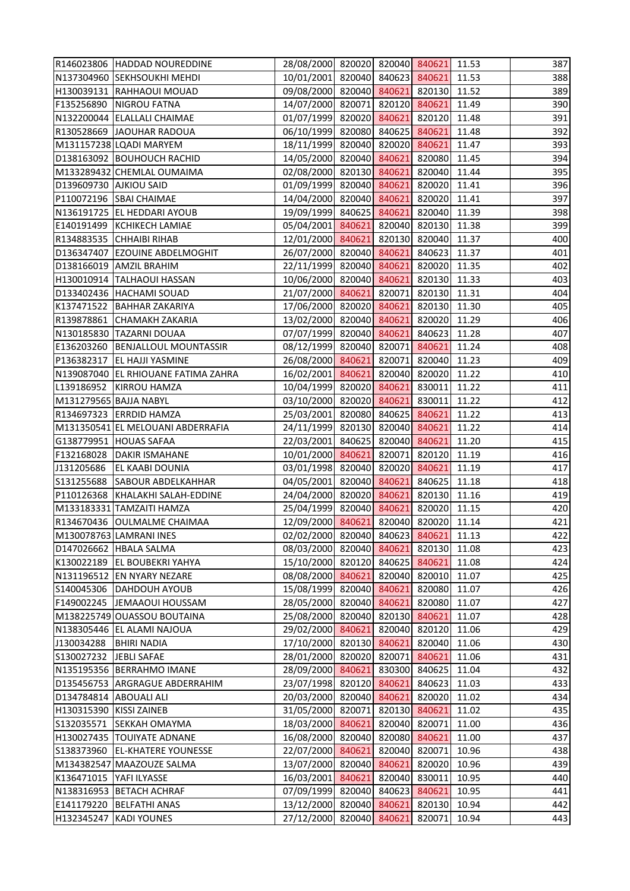|                               | R146023806 HADDAD NOUREDDINE        | 28/08/2000 820020 820040 840621 11.53  |        |                     |                | 387        |
|-------------------------------|-------------------------------------|----------------------------------------|--------|---------------------|----------------|------------|
|                               | N137304960 SEKHSOUKHI MEHDI         | 10/01/2001 820040 840623 840621 11.53  |        |                     |                | 388        |
|                               | H130039131 RAHHAOUI MOUAD           | 09/08/2000 820040 840621 820130 11.52  |        |                     |                | 389        |
|                               | F135256890   NIGROU FATNA           | 14/07/2000 820071 820120 840621        |        |                     | 11.49          | 390        |
|                               | N132200044 ELALLALI CHAIMAE         | 01/07/1999 820020 840621 820120 11.48  |        |                     |                | 391        |
|                               | R130528669 JJAOUHAR RADOUA          | 06/10/1999 820080 840625 840621        |        |                     | 11.48          | 392        |
|                               | M131157238 LQADI MARYEM             | 18/11/1999 820040 820020 840621 11.47  |        |                     |                | 393        |
|                               | D138163092 BOUHOUCH RACHID          | 14/05/2000 820040 840621               |        | 820080              | 11.45          | 394        |
|                               | M133289432 CHEMLAL OUMAIMA          | 02/08/2000 820130 840621               |        | 820040 11.44        |                | 395        |
| <b>D139609730 AJKIOU SAID</b> |                                     | 01/09/1999 820040 840621 820020 11.41  |        |                     |                | 396        |
|                               | P110072196 SBAI CHAIMAE             | 14/04/2000 820040 840621 820020 11.41  |        |                     |                | 397        |
|                               | N136191725  EL HEDDARI AYOUB        | 19/09/1999 840625 840621 820040 11.39  |        |                     |                | 398        |
|                               | E140191499   KCHIKECH LAMIAE        | 05/04/2001 840621                      |        | 820040 820130 11.38 |                | 399        |
|                               | R134883535 CHHAIBI RIHAB            | 12/01/2000 840621 820130 820040 11.37  |        |                     |                | 400        |
|                               | D136347407 EZOUINE ABDELMOGHIT      | 26/07/2000 820040 840621 840623 11.37  |        |                     |                | 401        |
|                               | D138166019 AMZIL BRAHIM             | 22/11/1999 820040 840621 820020 11.35  |        |                     |                | 402        |
|                               | H130010914 TALHAOUI HASSAN          | 10/06/2000 820040 840621 820130 11.33  |        |                     |                | 403        |
|                               | D133402436 HACHAMI SOUAD            | 21/07/2000 840621                      |        | 820071 820130 11.31 |                | 404        |
|                               | K137471522 BAHHAR ZAKARIYA          | 17/06/2000 820020 840621 820130 11.30  |        |                     |                | 405        |
|                               | R139878861 CHAMAKH ZAKARIA          | 13/02/2000 820040 840621 820020 11.29  |        |                     |                | 406        |
|                               | N130185830 TAZARNI DOUAA            | 07/07/1999 820040 840621 840623 11.28  |        |                     |                | 407        |
|                               | E136203260 BENJALLOUL MOUNTASSIR    | 08/12/1999 820040 820071 840621        |        |                     | 11.24          | 408        |
| P136382317                    | <b>EL HAJJI YASMINE</b>             | 26/08/2000 840621                      |        | 820071 820040 11.23 |                | 409        |
|                               | N139087040 EL RHIOUANE FATIMA ZAHRA | 16/02/2001 840621 820040 820020 11.22  |        |                     |                | 410        |
|                               | L139186952 KIRROU HAMZA             | 10/04/1999 820020 840621 830011 11.22  |        |                     |                | 411        |
| M131279565 BAJJA NABYL        |                                     | 03/10/2000 820020 840621 830011 11.22  |        |                     |                | 412        |
|                               | R134697323 ERRDID HAMZA             | 25/03/2001 820080 840625 840621        |        |                     | 11.22          | 413        |
|                               | M131350541 EL MELOUANI ABDERRAFIA   | 24/11/1999 820130 820040 840621        |        |                     | 11.22          | 414        |
|                               | G138779951 HOUAS SAFAA              | 22/03/2001 840625 820040 840621        |        |                     | 11.20          | 415        |
|                               | F132168028 DAKIR ISMAHANE           | 10/01/2000 840621                      |        | 820071 820120 11.19 |                | 416        |
|                               | J131205686 EL KAABI DOUNIA          | 03/01/1998 820040 820020 840621 11.19  |        |                     |                | 417        |
|                               | S131255688 SABOUR ABDELKAHHAR       | 04/05/2001 820040 840621 840625 11.18  |        |                     |                | 418        |
|                               | P110126368 KHALAKHI SALAH-EDDINE    | 24/04/2000 820020 840621               |        | 820130 11.16        |                | 419        |
|                               | M133183331 TAMZAITI HAMZA           | 25/04/1999 820040 840621 820020 11.15  |        |                     |                | 420        |
|                               | R134670436 OULMALME CHAIMAA         | 12/09/2000 840621                      |        | 820040 820020 11.14 |                | 421        |
|                               | M130078763 LAMRANI INES             | 02/02/2000 820040 840623               |        | 840621              | 11.13          | 422        |
|                               | D147026662 HBALA SALMA              | 08/03/2000 820040 840621               |        | 820130 11.08        |                | 423        |
|                               | K130022189 EL BOUBEKRI YAHYA        | 15/10/2000 820120 840625 840621        |        |                     | 11.08          | 424        |
|                               | N131196512 EN NYARY NEZARE          | 08/08/2000 840621                      |        | 820040 820010 11.07 |                | 425        |
|                               | S140045306 DAHDOUH AYOUB            | 15/08/1999 820040 840621               |        | 820080              | 11.07          | 426        |
|                               | F149002245 JEMAAOUI HOUSSAM         | 28/05/2000 820040 840621               |        | 820080 11.07        |                | 427        |
|                               | M138225749 OUASSOU BOUTAINA         | 25/08/2000 820040 820130 840621        |        |                     | 11.07          | 428        |
|                               | N138305446 EL ALAMI NAJOUA          | 29/02/2000 840621                      |        | 820040 820120 11.06 |                | 429        |
| J130034288                    | <b>BHIRI NADIA</b>                  | 17/10/2000 820130 840621               |        | 820040 11.06        |                | 430        |
| S130027232                    | JEBLI SAFAE                         | 28/01/2000 820020 820071               |        | 840621              | 11.06          | 431        |
|                               | N135195356 BERRAHMO IMANE           | 28/09/2000 840621                      |        | 830300 840625       | 11.04          | 432        |
|                               | D135456753 ARGRAGUE ABDERRAHIM      | 23/07/1998 820120 840621               |        | 840623              | 11.03          | 433        |
| D134784814 ABOUALI ALI        |                                     | 20/03/2000 820040 840621               |        | 820020 11.02        |                | 434        |
| H130315390 KISSI ZAINEB       |                                     | 31/05/2000 820071                      |        | 820130 840621       | 11.02          | 435        |
| S132035571                    | <b>SEKKAH OMAYMA</b>                | 18/03/2000 840621                      |        | 820040 820071       | 11.00          | 436        |
|                               | H130027435 TOUIYATE ADNANE          | 16/08/2000 820040 820080 840621        |        |                     | 11.00          | 437        |
|                               | S138373960 EL-KHATERE YOUNESSE      | 22/07/2000 840621                      |        | 820040 820071       | 10.96          | 438        |
|                               | M134382547 MAAZOUZE SALMA           | 13/07/2000 820040                      | 840621 | 820020              | 10.96          | 439        |
| K136471015 YAFI ILYASSE       | <b>BETACH ACHRAF</b>                | 16/03/2001 840621                      | 840623 | 820040 830011       | 10.95          | 440<br>441 |
| N138316953<br>E141179220      | <b>BELFATHI ANAS</b>                | 07/09/1999 820040                      | 840621 | 840621<br>820130    | 10.95<br>10.94 | 442        |
| H132345247                    | <b>KADI YOUNES</b>                  | 13/12/2000 820040<br>27/12/2000 820040 | 840621 | 820071              | 10.94          | 443        |
|                               |                                     |                                        |        |                     |                |            |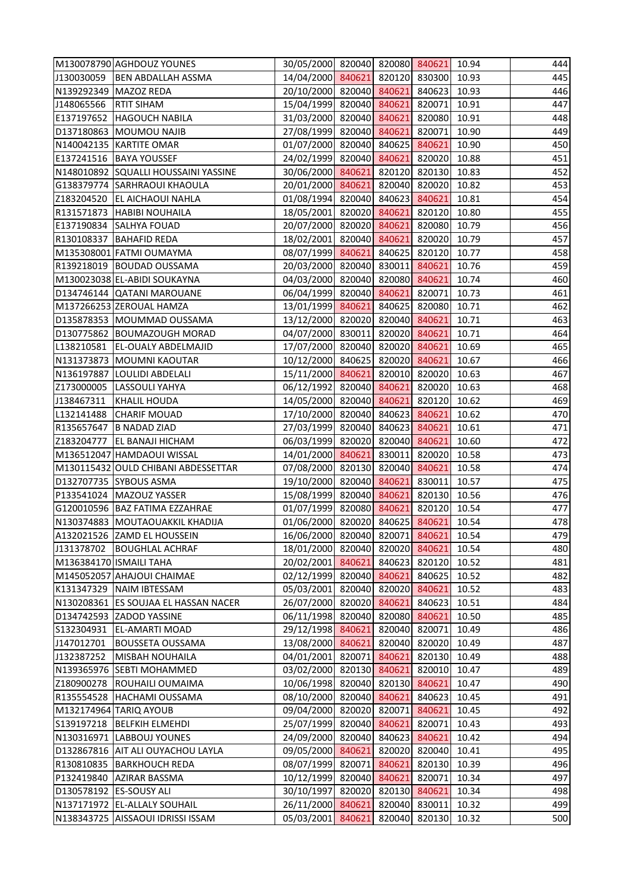|                         | M130078790 AGHDOUZ YOUNES            | 30/05/2000 820040 820080 840621 10.94 |        |               |       | 444 |
|-------------------------|--------------------------------------|---------------------------------------|--------|---------------|-------|-----|
| J130030059              | <b>BEN ABDALLAH ASSMA</b>            | 14/04/2000 840621 820120 830300 10.93 |        |               |       | 445 |
| N139292349 MAZOZ REDA   |                                      | 20/10/2000 820040 840621 840623       |        |               | 10.93 | 446 |
| J148065566              | <b>RTIT SIHAM</b>                    | 15/04/1999 820040 840621 820071 10.91 |        |               |       | 447 |
|                         | E137197652 HAGOUCH NABILA            | 31/03/2000 820040 840621 820080 10.91 |        |               |       | 448 |
|                         | D137180863 MOUMOU NAJIB              | 27/08/1999 820040 840621 820071 10.90 |        |               |       | 449 |
|                         | N140042135 KARTITE OMAR              | 01/07/2000 820040 840625 840621 10.90 |        |               |       | 450 |
|                         | E137241516 BAYA YOUSSEF              | 24/02/1999 820040 840621 820020 10.88 |        |               |       | 451 |
|                         | N148010892 SQUALLI HOUSSAINI YASSINE | 30/06/2000 840621 820120 820130 10.83 |        |               |       | 452 |
|                         | G138379774 SARHRAOUI KHAOULA         | 20/01/2000 840621 820040 820020 10.82 |        |               |       | 453 |
|                         | Z183204520 EL AICHAOUI NAHLA         | 01/08/1994 820040 840623 840621       |        |               | 10.81 | 454 |
|                         | R131571873 HABIBI NOUHAILA           | 18/05/2001 820020 840621 820120 10.80 |        |               |       | 455 |
| E137190834              | <b>SALHYA FOUAD</b>                  | 20/07/2000 820020 840621 820080       |        |               | 10.79 | 456 |
|                         | R130108337 BAHAFID REDA              | 18/02/2001 820040 840621 820020 10.79 |        |               |       | 457 |
|                         | M135308001 FATMI OUMAYMA             | 08/07/1999 840621 840625 820120 10.77 |        |               |       | 458 |
|                         | R139218019 BOUDAD OUSSAMA            | 20/03/2000 820040 830011 840621       |        |               | 10.76 | 459 |
|                         | M130023038 EL-ABIDI SOUKAYNA         | 04/03/2000 820040 820080 840621       |        |               | 10.74 | 460 |
|                         | D134746144 QATANI MAROUANE           | 06/04/1999 820040 840621 820071       |        |               | 10.73 | 461 |
|                         | M137266253 ZEROUAL HAMZA             | 13/01/1999 840621 840625 820080 10.71 |        |               |       | 462 |
|                         | D135878353 MOUMMAD OUSSAMA           | 13/12/2000 820020 820040 840621       |        |               | 10.71 | 463 |
|                         | D130775862 BOUMAZOUGH MORAD          | 04/07/2000 830011 820020 840621       |        |               | 10.71 | 464 |
| L138210581              | <b>EL-OUALY ABDELMAJID</b>           | 17/07/2000 820040 820020 840621       |        |               | 10.69 | 465 |
|                         | N131373873 MOUMNI KAOUTAR            | 10/12/2000 840625 820020 840621       |        |               | 10.67 | 466 |
|                         | N136197887 LOULIDI ABDELALI          | 15/11/2000 840621 820010 820020 10.63 |        |               |       | 467 |
| Z173000005              | LASSOULI YAHYA                       | 06/12/1992 820040 840621 820020       |        |               | 10.63 | 468 |
| J138467311              | KHALIL HOUDA                         | 14/05/2000 820040 840621 820120 10.62 |        |               |       | 469 |
| L132141488              | <b>CHARIF MOUAD</b>                  | 17/10/2000 820040 840623 840621       |        |               | 10.62 | 470 |
| R135657647              | <b>B NADAD ZIAD</b>                  | 27/03/1999 820040 840623 840621       |        |               | 10.61 | 471 |
| Z183204777              | <b>EL BANAJI HICHAM</b>              | 06/03/1999 820020 820040 840621       |        |               | 10.60 | 472 |
|                         | M136512047 HAMDAOUI WISSAL           | 14/01/2000 840621 830011 820020 10.58 |        |               |       | 473 |
|                         | M130115432 OULD CHIBANI ABDESSETTAR  | 07/08/2000 820130 820040 840621 10.58 |        |               |       | 474 |
|                         | D132707735 SYBOUS ASMA               | 19/10/2000 820040 840621 830011 10.57 |        |               |       | 475 |
|                         | P133541024   MAZOUZ YASSER           | 15/08/1999 820040 840621              |        | 820130 10.56  |       | 476 |
|                         | G120010596 BAZ FATIMA EZZAHRAE       | 01/07/1999 820080 840621 820120 10.54 |        |               |       | 477 |
|                         | N130374883 MOUTAOUAKKIL KHADIJA      | 01/06/2000 820020 840625              |        | 840621        | 10.54 | 478 |
|                         | A132021526 ZAMD EL HOUSSEIN          | 16/06/2000 820040 820071              |        | 840621        | 10.54 | 479 |
| J131378702              | <b>BOUGHLAL ACHRAF</b>               | 18/01/2000 820040 820020              |        | 840621        | 10.54 | 480 |
| M136384170 ISMAILI TAHA |                                      | 20/02/2001 840621                     |        | 840623 820120 | 10.52 | 481 |
|                         | M145052057 AHAJOUI CHAIMAE           | 02/12/1999 820040 840621              |        | 840625        | 10.52 | 482 |
| K131347329              | NAIM IBTESSAM                        | 05/03/2001 820040 820020              |        | 840621        | 10.52 | 483 |
| N130208361              | <b>ES SOUJAA EL HASSAN NACER</b>     | 26/07/2000 820020 840621              |        | 840623        | 10.51 | 484 |
|                         | D134742593 ZADOD YASSINE             | 06/11/1998 820040 820080              |        | 840621        | 10.50 | 485 |
| S132304931              | <b>EL-AMARTI MOAD</b>                | 29/12/1998 840621                     |        | 820040 820071 | 10.49 | 486 |
| J147012701              | <b>BOUSSETA OUSSAMA</b>              | 13/08/2000 840621                     |        | 820040 820020 | 10.49 | 487 |
| J132387252              | <b>MISBAH NOUHAILA</b>               | 04/01/2001 820071                     | 840621 | 820130        | 10.49 | 488 |
| N139365976              | <b>SEBTI MOHAMMED</b>                | 03/02/2000 820130 840621              |        | 820010        | 10.47 | 489 |
| Z180900278              | ROUHAILI OUMAIMA                     | 10/06/1998 820040 820130 840621       |        |               | 10.47 | 490 |
| R135554528              | HACHAMI OUSSAMA                      | 08/10/2000 820040 840621              |        | 840623        | 10.45 | 491 |
|                         | M132174964 TARIQ AYOUB               | 09/04/2000 820020 820071              |        | 840621        | 10.45 | 492 |
| S139197218              | <b>BELFKIH ELMEHDI</b>               | 25/07/1999 820040                     | 840621 | 820071        | 10.43 | 493 |
|                         | N130316971 LABBOUJ YOUNES            | 24/09/2000 820040 840623              |        | 840621        | 10.42 | 494 |
|                         | D132867816 AIT ALI OUYACHOU LAYLA    | 09/05/2000 840621                     | 820020 | 820040        | 10.41 | 495 |
| R130810835              | <b>BARKHOUCH REDA</b>                | 08/07/1999 820071                     | 840621 | 820130        | 10.39 | 496 |
| P132419840              | <b>AZIRAR BASSMA</b>                 | 10/12/1999 820040 840621              |        | 820071        | 10.34 | 497 |
| D130578192              | <b>ES-SOUSY ALI</b>                  | 30/10/1997 820020                     | 820130 | 840621        | 10.34 | 498 |
|                         | N137171972 EL-ALLALY SOUHAIL         | 26/11/2000 840621                     | 820040 | 830011        | 10.32 | 499 |
|                         | N138343725 AISSAOUI IDRISSI ISSAM    | 05/03/2001 840621                     | 820040 | 820130        | 10.32 | 500 |